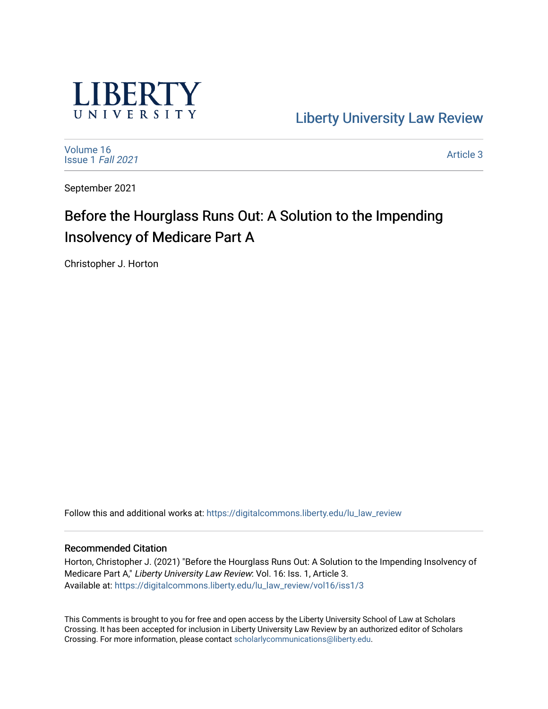

[Liberty University Law Review](https://digitalcommons.liberty.edu/lu_law_review) 

[Volume 16](https://digitalcommons.liberty.edu/lu_law_review/vol16) [Issue 1](https://digitalcommons.liberty.edu/lu_law_review/vol16/iss1) Fall 2021

[Article 3](https://digitalcommons.liberty.edu/lu_law_review/vol16/iss1/3) 

September 2021

# Before the Hourglass Runs Out: A Solution to the Impending Insolvency of Medicare Part A

Christopher J. Horton

Follow this and additional works at: [https://digitalcommons.liberty.edu/lu\\_law\\_review](https://digitalcommons.liberty.edu/lu_law_review?utm_source=digitalcommons.liberty.edu%2Flu_law_review%2Fvol16%2Fiss1%2F3&utm_medium=PDF&utm_campaign=PDFCoverPages) 

# Recommended Citation

Horton, Christopher J. (2021) "Before the Hourglass Runs Out: A Solution to the Impending Insolvency of Medicare Part A," Liberty University Law Review: Vol. 16: Iss. 1, Article 3. Available at: [https://digitalcommons.liberty.edu/lu\\_law\\_review/vol16/iss1/3](https://digitalcommons.liberty.edu/lu_law_review/vol16/iss1/3?utm_source=digitalcommons.liberty.edu%2Flu_law_review%2Fvol16%2Fiss1%2F3&utm_medium=PDF&utm_campaign=PDFCoverPages) 

This Comments is brought to you for free and open access by the Liberty University School of Law at Scholars Crossing. It has been accepted for inclusion in Liberty University Law Review by an authorized editor of Scholars Crossing. For more information, please contact [scholarlycommunications@liberty.edu](mailto:scholarlycommunications@liberty.edu).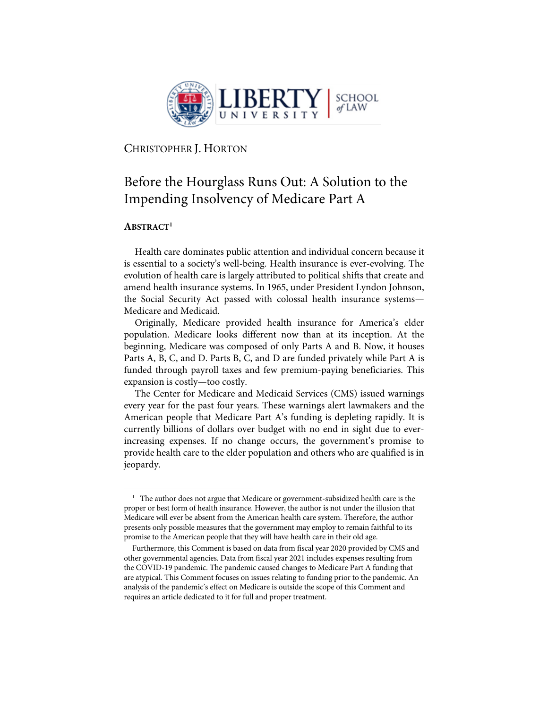

CHRISTOPHER J. HORTON

# Before the Hourglass Runs Out: A Solution to the Impending Insolvency of Medicare Part A

# **ABSTRACT1**

Health care dominates public attention and individual concern because it is essential to a society's well-being. Health insurance is ever-evolving. The evolution of health care is largely attributed to political shifts that create and amend health insurance systems. In 1965, under President Lyndon Johnson, the Social Security Act passed with colossal health insurance systems— Medicare and Medicaid.

Originally, Medicare provided health insurance for America's elder population. Medicare looks different now than at its inception. At the beginning, Medicare was composed of only Parts A and B. Now, it houses Parts A, B, C, and D. Parts B, C, and D are funded privately while Part A is funded through payroll taxes and few premium-paying beneficiaries. This expansion is costly—too costly.

The Center for Medicare and Medicaid Services (CMS) issued warnings every year for the past four years. These warnings alert lawmakers and the American people that Medicare Part A's funding is depleting rapidly. It is currently billions of dollars over budget with no end in sight due to everincreasing expenses. If no change occurs, the government's promise to provide health care to the elder population and others who are qualified is in jeopardy.

<sup>&</sup>lt;sup>1</sup> The author does not argue that Medicare or government-subsidized health care is the proper or best form of health insurance. However, the author is not under the illusion that Medicare will ever be absent from the American health care system. Therefore, the author presents only possible measures that the government may employ to remain faithful to its promise to the American people that they will have health care in their old age.

Furthermore, this Comment is based on data from fiscal year 2020 provided by CMS and other governmental agencies. Data from fiscal year 2021 includes expenses resulting from the COVID-19 pandemic. The pandemic caused changes to Medicare Part A funding that are atypical. This Comment focuses on issues relating to funding prior to the pandemic. An analysis of the pandemic's effect on Medicare is outside the scope of this Comment and requires an article dedicated to it for full and proper treatment.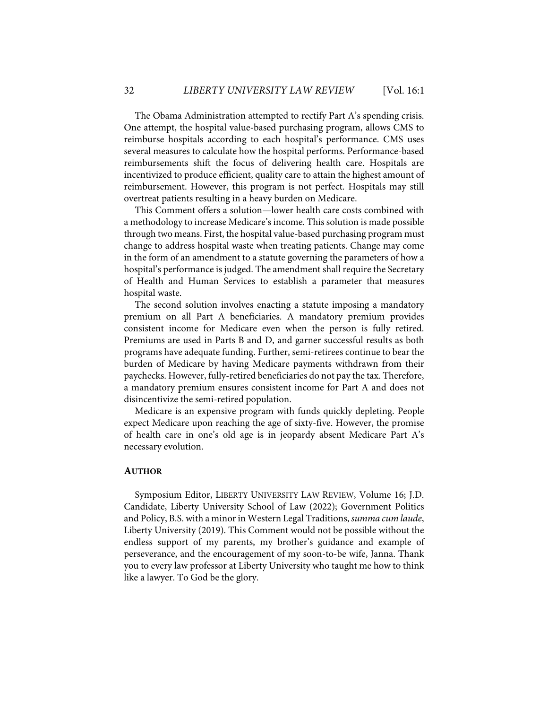The Obama Administration attempted to rectify Part A's spending crisis. One attempt, the hospital value-based purchasing program, allows CMS to reimburse hospitals according to each hospital's performance. CMS uses several measures to calculate how the hospital performs. Performance-based reimbursements shift the focus of delivering health care. Hospitals are incentivized to produce efficient, quality care to attain the highest amount of reimbursement. However, this program is not perfect. Hospitals may still overtreat patients resulting in a heavy burden on Medicare.

This Comment offers a solution—lower health care costs combined with a methodology to increase Medicare's income. This solution is made possible through two means. First, the hospital value-based purchasing program must change to address hospital waste when treating patients. Change may come in the form of an amendment to a statute governing the parameters of how a hospital's performance is judged. The amendment shall require the Secretary of Health and Human Services to establish a parameter that measures hospital waste.

The second solution involves enacting a statute imposing a mandatory premium on all Part A beneficiaries. A mandatory premium provides consistent income for Medicare even when the person is fully retired. Premiums are used in Parts B and D, and garner successful results as both programs have adequate funding. Further, semi-retirees continue to bear the burden of Medicare by having Medicare payments withdrawn from their paychecks. However, fully-retired beneficiaries do not pay the tax. Therefore, a mandatory premium ensures consistent income for Part A and does not disincentivize the semi-retired population.

Medicare is an expensive program with funds quickly depleting. People expect Medicare upon reaching the age of sixty-five. However, the promise of health care in one's old age is in jeopardy absent Medicare Part A's necessary evolution.

## **AUTHOR**

Symposium Editor, LIBERTY UNIVERSITY LAW REVIEW, Volume 16; J.D. Candidate, Liberty University School of Law (2022); Government Politics and Policy, B.S. with a minor in Western Legal Traditions, *summa cum laude*, Liberty University (2019). This Comment would not be possible without the endless support of my parents, my brother's guidance and example of perseverance, and the encouragement of my soon-to-be wife, Janna. Thank you to every law professor at Liberty University who taught me how to think like a lawyer. To God be the glory.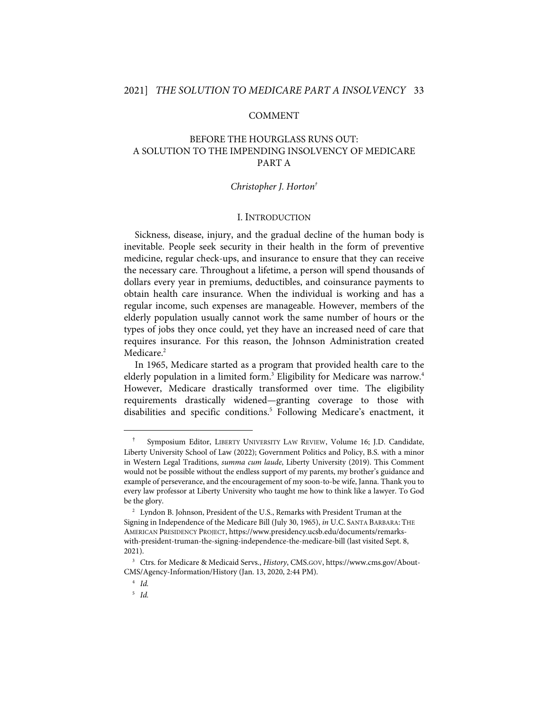# COMMENT

# BEFORE THE HOURGLASS RUNS OUT: A SOLUTION TO THE IMPENDING INSOLVENCY OF MEDICARE PART A

# *Christopher J. Horton†*

# I. INTRODUCTION

Sickness, disease, injury, and the gradual decline of the human body is inevitable. People seek security in their health in the form of preventive medicine, regular check-ups, and insurance to ensure that they can receive the necessary care. Throughout a lifetime, a person will spend thousands of dollars every year in premiums, deductibles, and coinsurance payments to obtain health care insurance. When the individual is working and has a regular income, such expenses are manageable. However, members of the elderly population usually cannot work the same number of hours or the types of jobs they once could, yet they have an increased need of care that requires insurance. For this reason, the Johnson Administration created Medicare.<sup>2</sup>

In 1965, Medicare started as a program that provided health care to the elderly population in a limited form. $^3$  Eligibility for Medicare was narrow. $^4$ However, Medicare drastically transformed over time. The eligibility requirements drastically widened—granting coverage to those with disabilities and specific conditions.<sup>5</sup> Following Medicare's enactment, it

<sup>†</sup> Symposium Editor, LIBERTY UNIVERSITY LAW REVIEW, Volume 16; J.D. Candidate, Liberty University School of Law (2022); Government Politics and Policy, B.S. with a minor in Western Legal Traditions, *summa cum laude*, Liberty University (2019). This Comment would not be possible without the endless support of my parents, my brother's guidance and example of perseverance, and the encouragement of my soon-to-be wife, Janna. Thank you to every law professor at Liberty University who taught me how to think like a lawyer. To God be the glory.

<sup>&</sup>lt;sup>2</sup> Lyndon B. Johnson, President of the U.S., Remarks with President Truman at the Signing in Independence of the Medicare Bill (July 30, 1965), *in* U.C. SANTA BARBARA: THE AMERICAN PRESIDENCY PROJECT, https://www.presidency.ucsb.edu/documents/remarkswith-president-truman-the-signing-independence-the-medicare-bill (last visited Sept. 8, 2021).

<sup>3</sup> Ctrs. for Medicare & Medicaid Servs., *History*, CMS.GOV, https://www.cms.gov/About-CMS/Agency-Information/History (Jan. 13, 2020, 2:44 PM).

<sup>4</sup> *Id.*

<sup>5</sup> *Id.*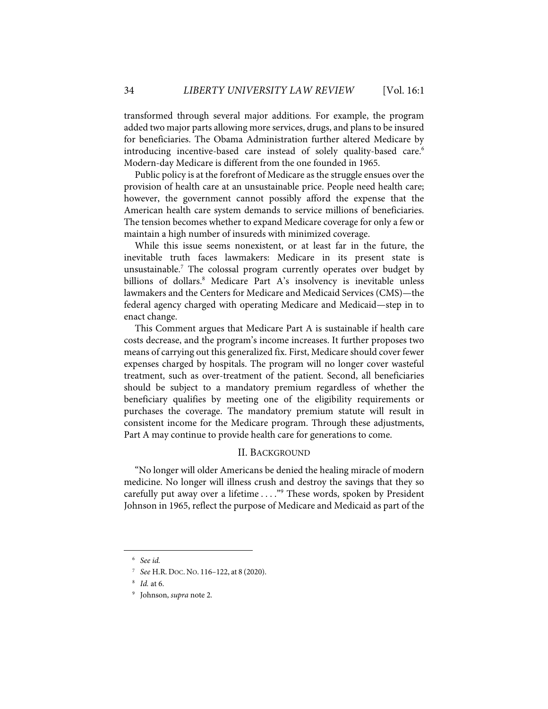transformed through several major additions. For example, the program added two major parts allowing more services, drugs, and plans to be insured for beneficiaries. The Obama Administration further altered Medicare by introducing incentive-based care instead of solely quality-based care.<sup>6</sup> Modern-day Medicare is different from the one founded in 1965.

Public policy is at the forefront of Medicare as the struggle ensues over the provision of health care at an unsustainable price. People need health care; however, the government cannot possibly afford the expense that the American health care system demands to service millions of beneficiaries. The tension becomes whether to expand Medicare coverage for only a few or maintain a high number of insureds with minimized coverage.

While this issue seems nonexistent, or at least far in the future, the inevitable truth faces lawmakers: Medicare in its present state is unsustainable.<sup>7</sup> The colossal program currently operates over budget by billions of dollars. <sup>8</sup> Medicare Part A's insolvency is inevitable unless lawmakers and the Centers for Medicare and Medicaid Services (CMS)—the federal agency charged with operating Medicare and Medicaid—step in to enact change.

This Comment argues that Medicare Part A is sustainable if health care costs decrease, and the program's income increases. It further proposes two means of carrying out this generalized fix. First, Medicare should cover fewer expenses charged by hospitals. The program will no longer cover wasteful treatment, such as over-treatment of the patient. Second, all beneficiaries should be subject to a mandatory premium regardless of whether the beneficiary qualifies by meeting one of the eligibility requirements or purchases the coverage. The mandatory premium statute will result in consistent income for the Medicare program. Through these adjustments, Part A may continue to provide health care for generations to come.

# II. BACKGROUND

"No longer will older Americans be denied the healing miracle of modern medicine. No longer will illness crush and destroy the savings that they so carefully put away over a lifetime  $\ldots$ ."<sup>9</sup> These words, spoken by President Johnson in 1965, reflect the purpose of Medicare and Medicaid as part of the

<sup>6</sup> *See id.*

<sup>7</sup> *See* H.R. DOC. NO. 116–122, at 8 (2020).

<sup>8</sup> *Id.* at 6.

<sup>9</sup> Johnson, *supra* note 2.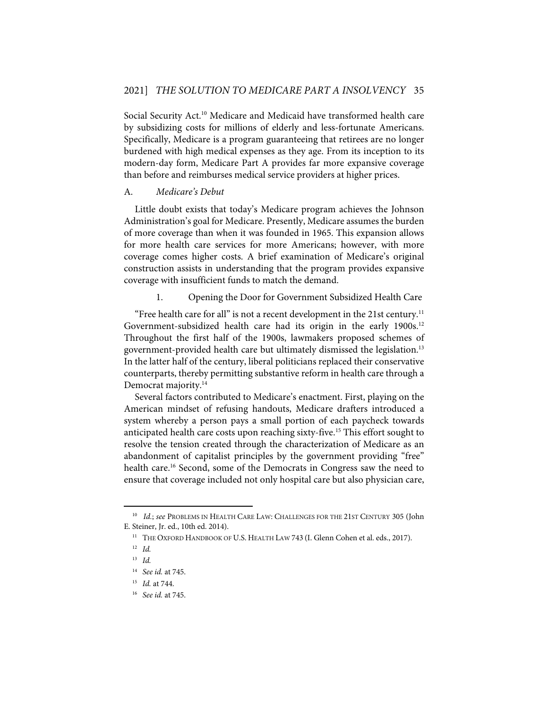Social Security Act.<sup>10</sup> Medicare and Medicaid have transformed health care by subsidizing costs for millions of elderly and less-fortunate Americans. Specifically, Medicare is a program guaranteeing that retirees are no longer burdened with high medical expenses as they age. From its inception to its modern-day form, Medicare Part A provides far more expansive coverage than before and reimburses medical service providers at higher prices.

# A. *Medicare's Debut*

Little doubt exists that today's Medicare program achieves the Johnson Administration's goal for Medicare. Presently, Medicare assumes the burden of more coverage than when it was founded in 1965. This expansion allows for more health care services for more Americans; however, with more coverage comes higher costs. A brief examination of Medicare's original construction assists in understanding that the program provides expansive coverage with insufficient funds to match the demand.

1. Opening the Door for Government Subsidized Health Care

"Free health care for all" is not a recent development in the 21st century.<sup>11</sup> Government-subsidized health care had its origin in the early 1900s.<sup>12</sup> Throughout the first half of the 1900s, lawmakers proposed schemes of government-provided health care but ultimately dismissed the legislation.<sup>13</sup> In the latter half of the century, liberal politicians replaced their conservative counterparts, thereby permitting substantive reform in health care through a Democrat majority.<sup>14</sup>

Several factors contributed to Medicare's enactment. First, playing on the American mindset of refusing handouts, Medicare drafters introduced a system whereby a person pays a small portion of each paycheck towards anticipated health care costs upon reaching sixty-five. <sup>15</sup> This effort sought to resolve the tension created through the characterization of Medicare as an abandonment of capitalist principles by the government providing "free" health care.<sup>16</sup> Second, some of the Democrats in Congress saw the need to ensure that coverage included not only hospital care but also physician care,

<sup>10</sup> *Id.*; *see* PROBLEMS IN HEALTH CARE LAW: CHALLENGES FOR THE 21ST CENTURY 305 (John E. Steiner, Jr. ed., 10th ed. 2014).

<sup>&</sup>lt;sup>11</sup> THE OXFORD HANDBOOK OF U.S. HEALTH LAW 743 (I. Glenn Cohen et al. eds., 2017).

<sup>12</sup> *Id.*

<sup>13</sup> *Id.*

<sup>14</sup> *See id.* at 745.

<sup>15</sup> *Id.* at 744.

<sup>16</sup> *See id.* at 745.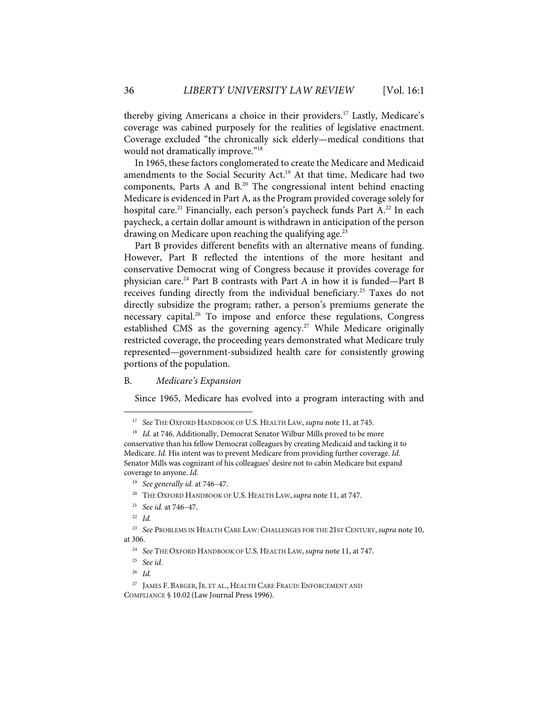thereby giving Americans a choice in their providers. <sup>17</sup> Lastly, Medicare's coverage was cabined purposely for the realities of legislative enactment. Coverage excluded "the chronically sick elderly—medical conditions that would not dramatically improve."<sup>18</sup>

In 1965, these factors conglomerated to create the Medicare and Medicaid amendments to the Social Security Act.<sup>19</sup> At that time, Medicare had two components, Parts A and  $B<sup>20</sup>$  The congressional intent behind enacting Medicare is evidenced in Part A, as the Program provided coverage solely for hospital care.<sup>21</sup> Financially, each person's paycheck funds Part A.<sup>22</sup> In each paycheck, a certain dollar amount is withdrawn in anticipation of the person drawing on Medicare upon reaching the qualifying age. $^{23}$ 

Part B provides different benefits with an alternative means of funding. However, Part B reflected the intentions of the more hesitant and conservative Democrat wing of Congress because it provides coverage for physician care.<sup>24</sup> Part B contrasts with Part A in how it is funded—Part B receives funding directly from the individual beneficiary.<sup>25</sup> Taxes do not directly subsidize the program; rather, a person's premiums generate the necessary capital.<sup>26</sup> To impose and enforce these regulations, Congress established CMS as the governing agency.<sup>27</sup> While Medicare originally restricted coverage, the proceeding years demonstrated what Medicare truly represented—government-subsidized health care for consistently growing portions of the population.

# B. *Medicare's Expansion*

Since 1965, Medicare has evolved into a program interacting with and

26 *Id.*

<sup>17</sup> *See* THE OXFORD HANDBOOK OF U.S. HEALTH LAW, *supra* note 11, at 745.

<sup>&</sup>lt;sup>18</sup> *Id.* at 746. Additionally, Democrat Senator Wilbur Mills proved to be more conservative than his fellow Democrat colleagues by creating Medicaid and tacking it to Medicare. *Id.* His intent was to prevent Medicare from providing further coverage. *Id.* Senator Mills was cognizant of his colleagues' desire not to cabin Medicare but expand coverage to anyone. *Id.*

<sup>19</sup> *See generally id.* at 746–47.

<sup>20</sup> THE OXFORD HANDBOOK OF U.S. HEALTH LAW, *supra* note 11, at 747.

<sup>21</sup> *See id.* at 746–47.

<sup>22</sup> *Id.*

<sup>23</sup> *See* PROBLEMS IN HEALTH CARE LAW: CHALLENGES FOR THE 21ST CENTURY, *supra* note 10, at 306.

<sup>24</sup> *See* THE OXFORD HANDBOOK OF U.S. HEALTH LAW, *supra* note 11, at 747.

<sup>25</sup> *See id.*

<sup>27</sup> JAMES F. BARGER, JR. ET AL., HEALTH CARE FRAUD: ENFORCEMENT AND COMPLIANCE § 10.02 (Law Journal Press 1996).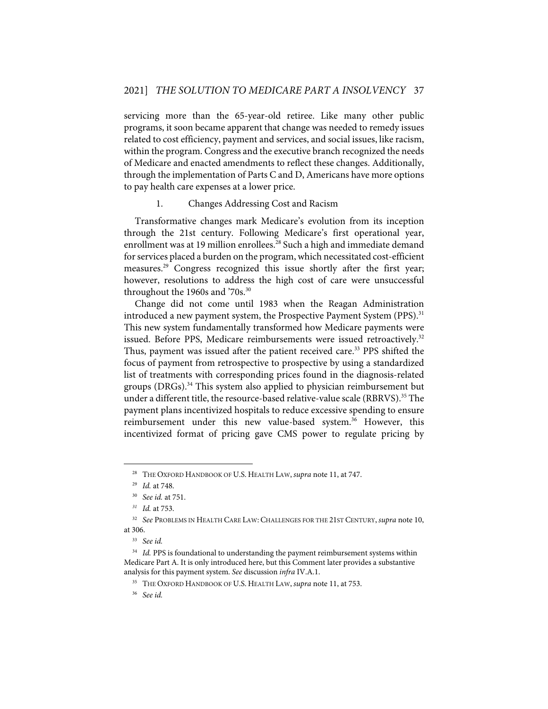servicing more than the 65-year-old retiree. Like many other public programs, it soon became apparent that change was needed to remedy issues related to cost efficiency, payment and services, and social issues, like racism, within the program. Congress and the executive branch recognized the needs of Medicare and enacted amendments to reflect these changes. Additionally, through the implementation of Parts C and D, Americans have more options to pay health care expenses at a lower price.

#### 1. Changes Addressing Cost and Racism

Transformative changes mark Medicare's evolution from its inception through the 21st century. Following Medicare's first operational year, enrollment was at 19 million enrollees.<sup>28</sup> Such a high and immediate demand for services placed a burden on the program, which necessitated cost-efficient measures.<sup>29</sup> Congress recognized this issue shortly after the first year; however, resolutions to address the high cost of care were unsuccessful throughout the 1960s and '70s.<sup>30</sup>

Change did not come until 1983 when the Reagan Administration introduced a new payment system, the Prospective Payment System (PPS).<sup>31</sup> This new system fundamentally transformed how Medicare payments were issued. Before PPS, Medicare reimbursements were issued retroactively.<sup>32</sup> Thus, payment was issued after the patient received care.<sup>33</sup> PPS shifted the focus of payment from retrospective to prospective by using a standardized list of treatments with corresponding prices found in the diagnosis-related groups (DRGs).<sup>34</sup> This system also applied to physician reimbursement but under a different title, the resource-based relative-value scale (RBRVS).<sup>35</sup> The payment plans incentivized hospitals to reduce excessive spending to ensure reimbursement under this new value-based system.<sup>36</sup> However, this incentivized format of pricing gave CMS power to regulate pricing by

<sup>28</sup> THE OXFORD HANDBOOK OF U.S. HEALTH LAW, *supra* note 11, at 747.

<sup>29</sup> *Id.* at 748.

<sup>30</sup> *See id.* at 751.

*<sup>31</sup> Id.* at 753.

<sup>32</sup> *See* PROBLEMS IN HEALTH CARE LAW: CHALLENGES FOR THE 21ST CENTURY, *supra* note 10, at 306.

<sup>33</sup> *See id.*

<sup>&</sup>lt;sup>34</sup> *Id.* PPS is foundational to understanding the payment reimbursement systems within Medicare Part A. It is only introduced here, but this Comment later provides a substantive analysis for this payment system. *See* discussion *infra* IV.A.1.

<sup>35</sup> THE OXFORD HANDBOOK OF U.S. HEALTH LAW, *supra* note 11, at 753.

<sup>36</sup> *See id.*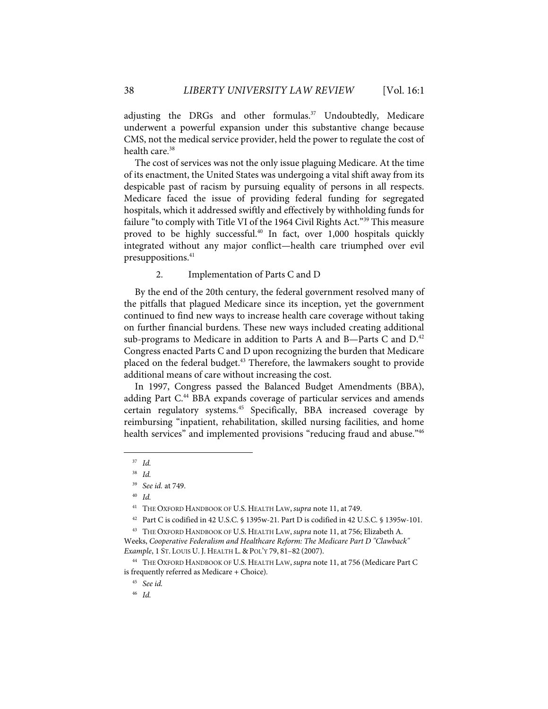adjusting the DRGs and other formulas.<sup>37</sup> Undoubtedly, Medicare underwent a powerful expansion under this substantive change because CMS, not the medical service provider, held the power to regulate the cost of health care.<sup>38</sup>

The cost of services was not the only issue plaguing Medicare. At the time of its enactment, the United States was undergoing a vital shift away from its despicable past of racism by pursuing equality of persons in all respects. Medicare faced the issue of providing federal funding for segregated hospitals, which it addressed swiftly and effectively by withholding funds for failure "to comply with Title VI of the 1964 Civil Rights Act."<sup>39</sup> This measure proved to be highly successful.<sup>40</sup> In fact, over 1,000 hospitals quickly integrated without any major conflict—health care triumphed over evil presuppositions.<sup>41</sup>

# 2. Implementation of Parts C and D

By the end of the 20th century, the federal government resolved many of the pitfalls that plagued Medicare since its inception, yet the government continued to find new ways to increase health care coverage without taking on further financial burdens. These new ways included creating additional sub-programs to Medicare in addition to Parts A and B-Parts C and  $D<sup>42</sup>$ Congress enacted Parts C and D upon recognizing the burden that Medicare placed on the federal budget.<sup>43</sup> Therefore, the lawmakers sought to provide additional means of care without increasing the cost.

In 1997, Congress passed the Balanced Budget Amendments (BBA), adding Part C.<sup>44</sup> BBA expands coverage of particular services and amends certain regulatory systems.<sup>45</sup> Specifically, BBA increased coverage by reimbursing "inpatient, rehabilitation, skilled nursing facilities, and home health services" and implemented provisions "reducing fraud and abuse."<sup>46</sup>

<sup>37</sup> *Id.*

<sup>38</sup> *Id.*

<sup>39</sup> *See id.* at 749.

<sup>40</sup> *Id.*

<sup>41</sup> THE OXFORD HANDBOOK OF U.S. HEALTH LAW, *supra* note 11, at 749.

<sup>42</sup> Part C is codified in 42 U.S.C. § 1395w-21. Part D is codified in 42 U.S.C. § 1395w-101.

<sup>43</sup> THE OXFORD HANDBOOK OF U.S. HEALTH LAW, *supra* note 11, at 756; Elizabeth A. Weeks, *Cooperative Federalism and Healthcare Reform: The Medicare Part D "Clawback" Example*, 1 ST. LOUIS U. J. HEALTH L. & POL'Y 79, 81–82 (2007).

<sup>44</sup> THE OXFORD HANDBOOK OF U.S. HEALTH LAW, *supra* note 11, at 756 (Medicare Part C is frequently referred as Medicare + Choice)*.*

<sup>45</sup> *See id.*

<sup>46</sup> *Id.*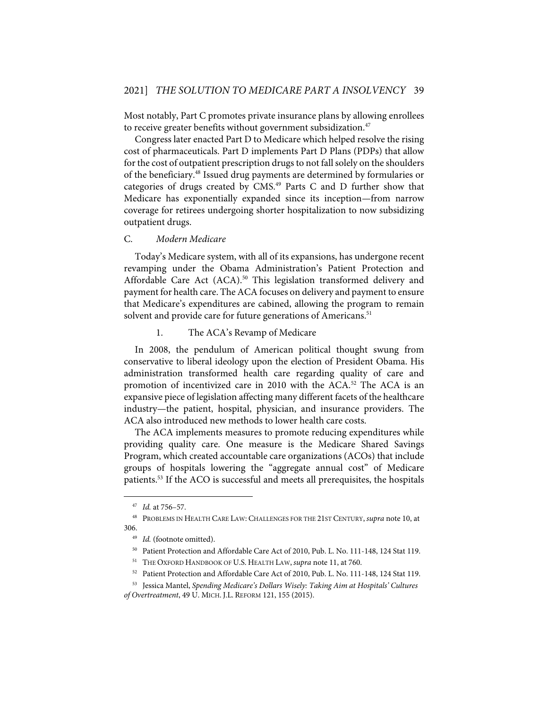Most notably, Part C promotes private insurance plans by allowing enrollees to receive greater benefits without government subsidization.<sup>47</sup>

Congress later enacted Part D to Medicare which helped resolve the rising cost of pharmaceuticals. Part D implements Part D Plans (PDPs) that allow for the cost of outpatient prescription drugs to not fall solely on the shoulders of the beneficiary.<sup>48</sup> Issued drug payments are determined by formularies or categories of drugs created by CMS.<sup>49</sup> Parts C and D further show that Medicare has exponentially expanded since its inception—from narrow coverage for retirees undergoing shorter hospitalization to now subsidizing outpatient drugs.

#### C. *Modern Medicare*

Today's Medicare system, with all of its expansions, has undergone recent revamping under the Obama Administration's Patient Protection and Affordable Care Act (ACA).<sup>50</sup> This legislation transformed delivery and payment for health care. The ACA focuses on delivery and payment to ensure that Medicare's expenditures are cabined, allowing the program to remain solvent and provide care for future generations of Americans.<sup>51</sup>

# 1. The ACA's Revamp of Medicare

In 2008, the pendulum of American political thought swung from conservative to liberal ideology upon the election of President Obama. His administration transformed health care regarding quality of care and promotion of incentivized care in 2010 with the ACA.<sup>52</sup> The ACA is an expansive piece of legislation affecting many different facets of the healthcare industry—the patient, hospital, physician, and insurance providers. The ACA also introduced new methods to lower health care costs.

The ACA implements measures to promote reducing expenditures while providing quality care. One measure is the Medicare Shared Savings Program, which created accountable care organizations (ACOs) that include groups of hospitals lowering the "aggregate annual cost" of Medicare patients.53 If the ACO is successful and meets all prerequisites, the hospitals

<sup>47</sup> *Id.* at 756–57.

<sup>48</sup> PROBLEMS IN HEALTH CARE LAW: CHALLENGES FOR THE 21ST CENTURY, *supra* note 10, at 306.

<sup>49</sup> *Id.* (footnote omitted).

<sup>50</sup> Patient Protection and Affordable Care Act of 2010, Pub. L. No. 111-148, 124 Stat 119.

<sup>51</sup> THE OXFORD HANDBOOK OF U.S. HEALTH LAW, *supra* note 11, at 760.

<sup>52</sup> Patient Protection and Affordable Care Act of 2010, Pub. L. No. 111-148, 124 Stat 119.

<sup>53</sup> Jessica Mantel, *Spending Medicare's Dollars Wisely: Taking Aim at Hospitals' Cultures* 

*of Overtreatment*, 49 U. MICH. J.L. REFORM 121, 155 (2015).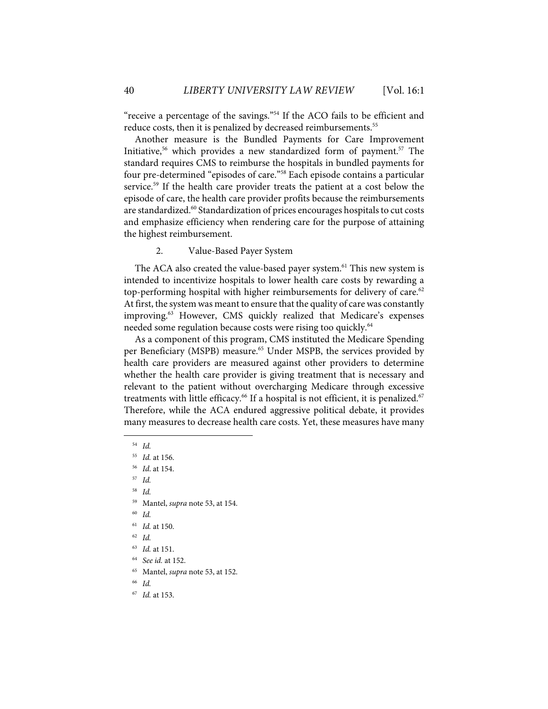"receive a percentage of the savings."<sup>54</sup> If the ACO fails to be efficient and reduce costs, then it is penalized by decreased reimbursements. 55

Another measure is the Bundled Payments for Care Improvement Initiative,<sup>56</sup> which provides a new standardized form of payment.<sup>57</sup> The standard requires CMS to reimburse the hospitals in bundled payments for four pre-determined "episodes of care."58 Each episode contains a particular service.<sup>59</sup> If the health care provider treats the patient at a cost below the episode of care, the health care provider profits because the reimbursements are standardized.<sup>60</sup> Standardization of prices encourages hospitals to cut costs and emphasize efficiency when rendering care for the purpose of attaining the highest reimbursement.

2. Value-Based Payer System

The ACA also created the value-based payer system.<sup>61</sup> This new system is intended to incentivize hospitals to lower health care costs by rewarding a top-performing hospital with higher reimbursements for delivery of care.<sup>62</sup> At first, the system was meant to ensure that the quality of care was constantly improving.<sup>63</sup> However, CMS quickly realized that Medicare's expenses needed some regulation because costs were rising too quickly.<sup>64</sup>

As a component of this program, CMS instituted the Medicare Spending per Beneficiary (MSPB) measure.<sup>65</sup> Under MSPB, the services provided by health care providers are measured against other providers to determine whether the health care provider is giving treatment that is necessary and relevant to the patient without overcharging Medicare through excessive treatments with little efficacy. $^{66}$  If a hospital is not efficient, it is penalized. $^{67}$ Therefore, while the ACA endured aggressive political debate, it provides many measures to decrease health care costs. Yet, these measures have many

- 58 *Id.*
- 59 Mantel, *supra* note 53, at 154.
- 60 *Id.*
- 61 *Id.* at 150.
- 62 *Id.*
- 63 *Id.* at 151.
- 64 *See id.* at 152.
- 65 Mantel, *supra* note 53, at 152.
- 66 *Id.*
- 67 *Id.* at 153.

<sup>54</sup> *Id.*

<sup>55</sup> *Id.* at 156.

<sup>56</sup> *Id*. at 154.

<sup>57</sup> *Id.*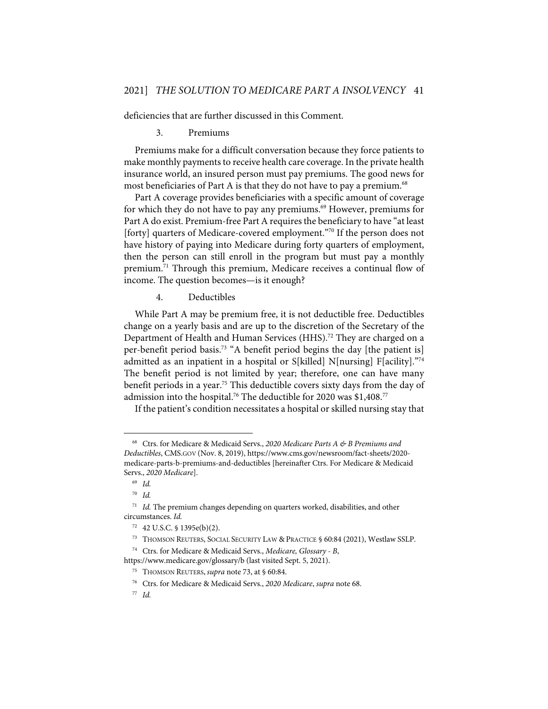deficiencies that are further discussed in this Comment.

3. Premiums

Premiums make for a difficult conversation because they force patients to make monthly payments to receive health care coverage. In the private health insurance world, an insured person must pay premiums. The good news for most beneficiaries of Part A is that they do not have to pay a premium.<sup>68</sup>

Part A coverage provides beneficiaries with a specific amount of coverage for which they do not have to pay any premiums. <sup>69</sup> However, premiums for Part A do exist. Premium-free Part A requires the beneficiary to have "at least [forty] quarters of Medicare-covered employment."<sup>70</sup> If the person does not have history of paying into Medicare during forty quarters of employment, then the person can still enroll in the program but must pay a monthly premium.71 Through this premium, Medicare receives a continual flow of income. The question becomes—is it enough?

4. Deductibles

While Part A may be premium free, it is not deductible free. Deductibles change on a yearly basis and are up to the discretion of the Secretary of the Department of Health and Human Services (HHS).<sup>72</sup> They are charged on a per-benefit period basis.<sup>73</sup> "A benefit period begins the day [the patient is] admitted as an inpatient in a hospital or S[killed] N[nursing] F[acility]. $\frac{374}{4}$ The benefit period is not limited by year; therefore, one can have many benefit periods in a year.<sup>75</sup> This deductible covers sixty days from the day of admission into the hospital.<sup>76</sup> The deductible for 2020 was \$1,408.<sup>77</sup>

If the patient's condition necessitates a hospital or skilled nursing stay that

<sup>68</sup> Ctrs. for Medicare & Medicaid Servs., *2020 Medicare Parts A & B Premiums and Deductibles*, CMS.GOV (Nov. 8, 2019), https://www.cms.gov/newsroom/fact-sheets/2020 medicare-parts-b-premiums-and-deductibles [hereinafter Ctrs. For Medicare & Medicaid Servs., *2020 Medicare*].

<sup>69</sup> *Id.*

<sup>70</sup> *Id.* 

<sup>71</sup> *Id.* The premium changes depending on quarters worked, disabilities, and other circumstances. *Id.*

<sup>72 42</sup> U.S.C. § 1395e(b)(2).

<sup>73</sup> THOMSON REUTERS, SOCIAL SECURITY LAW & PRACTICE § 60:84 (2021), Westlaw SSLP.

<sup>74</sup> Ctrs. for Medicare & Medicaid Servs., *Medicare, Glossary - B*,

https://www.medicare.gov/glossary/b (last visited Sept. 5, 2021).

<sup>75</sup> THOMSON REUTERS, *supra* note 73, at § 60:84.

<sup>76</sup> Ctrs. for Medicare & Medicaid Servs., *2020 Medicare*, *supra* note 68.

<sup>77</sup> *Id.*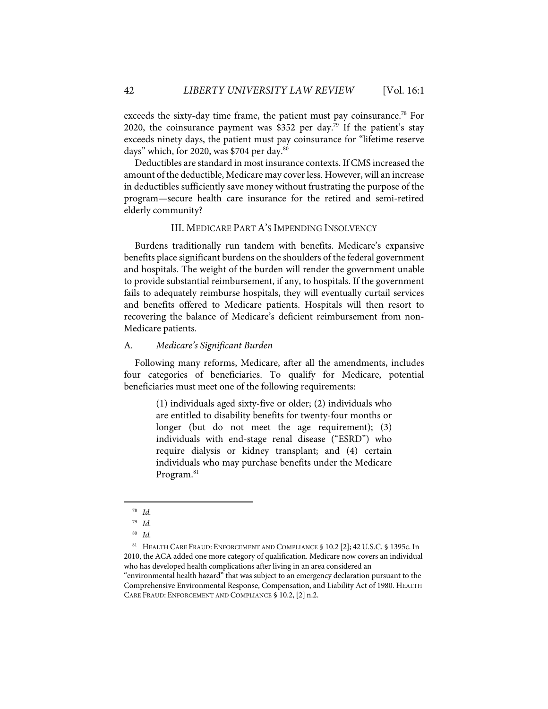exceeds the sixty-day time frame, the patient must pay coinsurance.<sup>78</sup> For 2020, the coinsurance payment was \$352 per day.<sup>79</sup> If the patient's stay exceeds ninety days, the patient must pay coinsurance for "lifetime reserve days" which, for 2020, was \$704 per day. $80$ 

Deductibles are standard in most insurance contexts. If CMS increased the amount of the deductible, Medicare may cover less. However, will an increase in deductibles sufficiently save money without frustrating the purpose of the program—secure health care insurance for the retired and semi-retired elderly community?

# III. MEDICARE PART A'S IMPENDING INSOLVENCY

Burdens traditionally run tandem with benefits. Medicare's expansive benefits place significant burdens on the shoulders of the federal government and hospitals. The weight of the burden will render the government unable to provide substantial reimbursement, if any, to hospitals. If the government fails to adequately reimburse hospitals, they will eventually curtail services and benefits offered to Medicare patients. Hospitals will then resort to recovering the balance of Medicare's deficient reimbursement from non-Medicare patients.

# A. *Medicare's Significant Burden*

Following many reforms, Medicare, after all the amendments, includes four categories of beneficiaries. To qualify for Medicare, potential beneficiaries must meet one of the following requirements:

> (1) individuals aged sixty-five or older; (2) individuals who are entitled to disability benefits for twenty-four months or longer (but do not meet the age requirement); (3) individuals with end-stage renal disease ("ESRD") who require dialysis or kidney transplant; and (4) certain individuals who may purchase benefits under the Medicare Program.<sup>81</sup>

81 HEALTH CARE FRAUD: ENFORCEMENT AND COMPLIANCE § 10.2 [2]; 42 U.S.C. § 1395c. In 2010, the ACA added one more category of qualification. Medicare now covers an individual who has developed health complications after living in an area considered an "environmental health hazard" that was subject to an emergency declaration pursuant to the Comprehensive Environmental Response, Compensation, and Liability Act of 1980. HEALTH

CARE FRAUD: ENFORCEMENT AND COMPLIANCE § 10.2, [2] n.2.

<sup>78</sup> *Id.*

<sup>79</sup> *Id.*

<sup>80</sup> *Id.*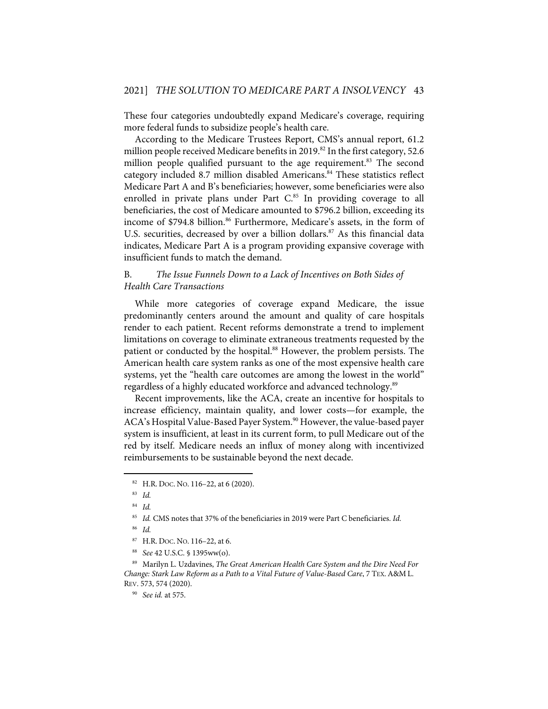These four categories undoubtedly expand Medicare's coverage, requiring more federal funds to subsidize people's health care.

According to the Medicare Trustees Report, CMS's annual report, 61.2 million people received Medicare benefits in 2019.<sup>82</sup> In the first category, 52.6 million people qualified pursuant to the age requirement.<sup>83</sup> The second category included 8.7 million disabled Americans.<sup>84</sup> These statistics reflect Medicare Part A and B's beneficiaries; however, some beneficiaries were also enrolled in private plans under Part C.<sup>85</sup> In providing coverage to all beneficiaries, the cost of Medicare amounted to \$796.2 billion, exceeding its income of \$794.8 billion.<sup>86</sup> Furthermore, Medicare's assets, in the form of U.S. securities, decreased by over a billion dollars.<sup>87</sup> As this financial data indicates, Medicare Part A is a program providing expansive coverage with insufficient funds to match the demand.

# B. *The Issue Funnels Down to a Lack of Incentives on Both Sides of Health Care Transactions*

While more categories of coverage expand Medicare, the issue predominantly centers around the amount and quality of care hospitals render to each patient. Recent reforms demonstrate a trend to implement limitations on coverage to eliminate extraneous treatments requested by the patient or conducted by the hospital.<sup>88</sup> However, the problem persists. The American health care system ranks as one of the most expensive health care systems, yet the "health care outcomes are among the lowest in the world" regardless of a highly educated workforce and advanced technology.<sup>89</sup>

Recent improvements, like the ACA, create an incentive for hospitals to increase efficiency, maintain quality, and lower costs—for example, the ACA's Hospital Value-Based Payer System.<sup>90</sup> However, the value-based payer system is insufficient, at least in its current form, to pull Medicare out of the red by itself. Medicare needs an influx of money along with incentivized reimbursements to be sustainable beyond the next decade.

<sup>&</sup>lt;sup>82</sup> H.R. Doc. No. 116–22, at 6 (2020).

<sup>83</sup> *Id.*

<sup>84</sup> *Id.*

<sup>85</sup> *Id.* CMS notes that 37% of the beneficiaries in 2019 were Part C beneficiaries. *Id.*

<sup>86</sup> *Id.*

<sup>87</sup> H.R. DOC. NO. 116–22, at 6.

<sup>88</sup> *See* 42 U.S.C. § 1395ww(o).

<sup>89</sup> Marilyn L. Uzdavines, *The Great American Health Care System and the Dire Need For Change: Stark Law Reform as a Path to a Vital Future of Value-Based Care*, 7 TEX.A&M L. REV. 573, 574 (2020).

<sup>90</sup> *See id.* at 575.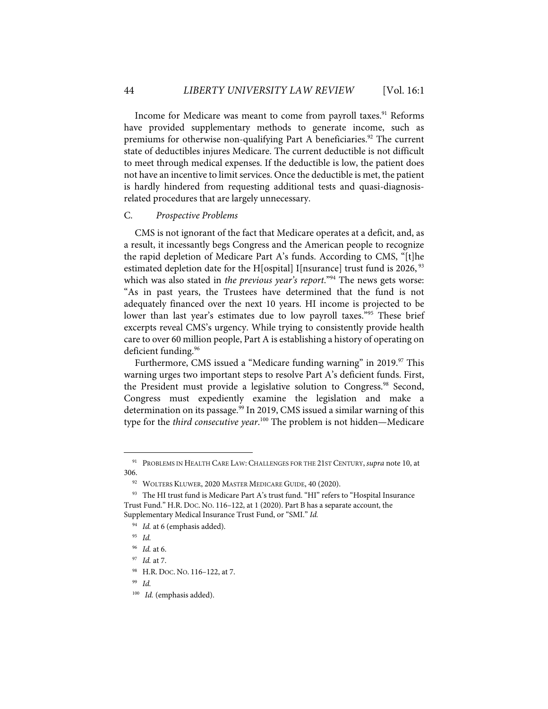Income for Medicare was meant to come from payroll taxes.<sup>91</sup> Reforms have provided supplementary methods to generate income, such as premiums for otherwise non-qualifying Part A beneficiaries.<sup>92</sup> The current state of deductibles injures Medicare. The current deductible is not difficult to meet through medical expenses. If the deductible is low, the patient does not have an incentive to limit services. Once the deductible is met, the patient is hardly hindered from requesting additional tests and quasi-diagnosisrelated procedures that are largely unnecessary.

#### C. *Prospective Problems*

CMS is not ignorant of the fact that Medicare operates at a deficit, and, as a result, it incessantly begs Congress and the American people to recognize the rapid depletion of Medicare Part A's funds. According to CMS, "[t]he estimated depletion date for the H[ospital] I[nsurance] trust fund is 2026,  $93$ which was also stated in *the previous year's report*."94 The news gets worse: "As in past years, the Trustees have determined that the fund is not adequately financed over the next 10 years. HI income is projected to be lower than last year's estimates due to low payroll taxes."95 These brief excerpts reveal CMS's urgency. While trying to consistently provide health care to over 60 million people, Part A is establishing a history of operating on deficient funding.<sup>96</sup>

Furthermore, CMS issued a "Medicare funding warning" in 2019.<sup>97</sup> This warning urges two important steps to resolve Part A's deficient funds. First, the President must provide a legislative solution to Congress.<sup>98</sup> Second, Congress must expediently examine the legislation and make a determination on its passage. <sup>99</sup> In 2019, CMS issued a similar warning of this type for the *third consecutive year*. <sup>100</sup> The problem is not hidden—Medicare

<sup>91</sup> PROBLEMS IN HEALTH CARE LAW: CHALLENGES FOR THE 21ST CENTURY, *supra* note 10, at 306.

<sup>&</sup>lt;sup>92</sup> WOLTERS KLUWER, 2020 MASTER MEDICARE GUIDE, 40 (2020).

<sup>&</sup>lt;sup>93</sup> The HI trust fund is Medicare Part A's trust fund. "HI" refers to "Hospital Insurance Trust Fund." H.R. DOC. NO. 116–122, at 1 (2020). Part B has a separate account, the Supplementary Medical Insurance Trust Fund, or "SMI." *Id.*

<sup>&</sup>lt;sup>94</sup> Id. at 6 (emphasis added).

<sup>95</sup> *Id.*

<sup>96</sup> *Id.* at 6.

<sup>97</sup> *Id.* at 7.

<sup>98</sup> H.R. DOC. NO. 116–122, at 7.

<sup>99</sup> *Id.*

<sup>&</sup>lt;sup>100</sup> Id. (emphasis added).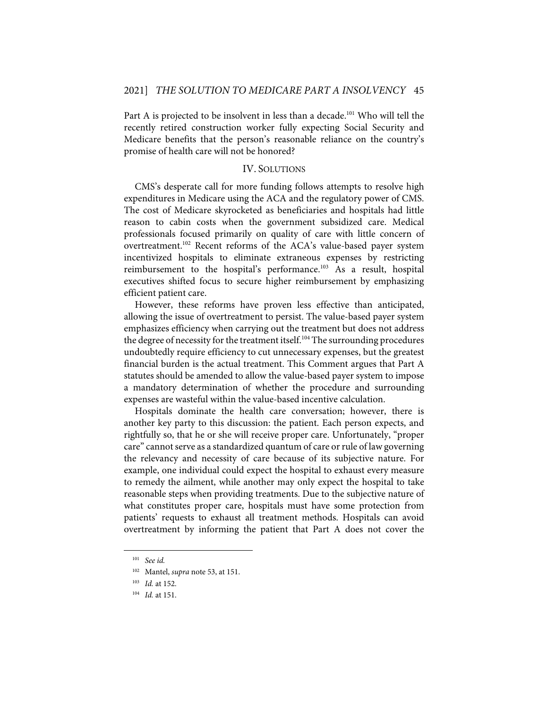Part A is projected to be insolvent in less than a decade.<sup>101</sup> Who will tell the recently retired construction worker fully expecting Social Security and Medicare benefits that the person's reasonable reliance on the country's promise of health care will not be honored?

# IV. SOLUTIONS

CMS's desperate call for more funding follows attempts to resolve high expenditures in Medicare using the ACA and the regulatory power of CMS. The cost of Medicare skyrocketed as beneficiaries and hospitals had little reason to cabin costs when the government subsidized care. Medical professionals focused primarily on quality of care with little concern of overtreatment.<sup>102</sup> Recent reforms of the ACA's value-based payer system incentivized hospitals to eliminate extraneous expenses by restricting reimbursement to the hospital's performance.103 As a result, hospital executives shifted focus to secure higher reimbursement by emphasizing efficient patient care.

However, these reforms have proven less effective than anticipated, allowing the issue of overtreatment to persist. The value-based payer system emphasizes efficiency when carrying out the treatment but does not address the degree of necessity for the treatment itself.<sup>104</sup> The surrounding procedures undoubtedly require efficiency to cut unnecessary expenses, but the greatest financial burden is the actual treatment. This Comment argues that Part A statutes should be amended to allow the value-based payer system to impose a mandatory determination of whether the procedure and surrounding expenses are wasteful within the value-based incentive calculation.

Hospitals dominate the health care conversation; however, there is another key party to this discussion: the patient. Each person expects, and rightfully so, that he or she will receive proper care. Unfortunately, "proper care" cannot serve as a standardized quantum of care or rule of law governing the relevancy and necessity of care because of its subjective nature. For example, one individual could expect the hospital to exhaust every measure to remedy the ailment, while another may only expect the hospital to take reasonable steps when providing treatments. Due to the subjective nature of what constitutes proper care, hospitals must have some protection from patients' requests to exhaust all treatment methods. Hospitals can avoid overtreatment by informing the patient that Part A does not cover the

<sup>101</sup> *See id.*

<sup>102</sup> Mantel, *supra* note 53, at 151.

<sup>103</sup> *Id.* at 152.

<sup>104</sup> *Id.* at 151.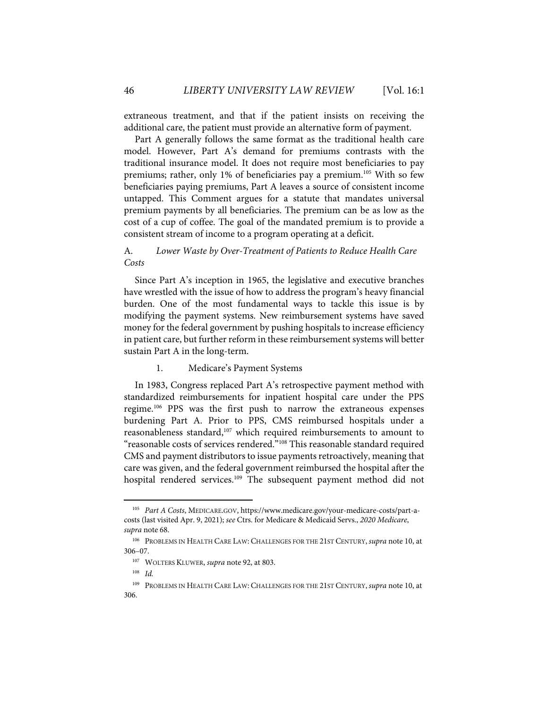extraneous treatment, and that if the patient insists on receiving the additional care, the patient must provide an alternative form of payment.

Part A generally follows the same format as the traditional health care model. However, Part A's demand for premiums contrasts with the traditional insurance model. It does not require most beneficiaries to pay premiums; rather, only 1% of beneficiaries pay a premium.<sup>105</sup> With so few beneficiaries paying premiums, Part A leaves a source of consistent income untapped. This Comment argues for a statute that mandates universal premium payments by all beneficiaries. The premium can be as low as the cost of a cup of coffee. The goal of the mandated premium is to provide a consistent stream of income to a program operating at a deficit.

# A. *Lower Waste by Over-Treatment of Patients to Reduce Health Care Costs*

Since Part A's inception in 1965, the legislative and executive branches have wrestled with the issue of how to address the program's heavy financial burden. One of the most fundamental ways to tackle this issue is by modifying the payment systems. New reimbursement systems have saved money for the federal government by pushing hospitals to increase efficiency in patient care, but further reform in these reimbursement systems will better sustain Part A in the long-term.

# 1. Medicare's Payment Systems

In 1983, Congress replaced Part A's retrospective payment method with standardized reimbursements for inpatient hospital care under the PPS regime.106 PPS was the first push to narrow the extraneous expenses burdening Part A. Prior to PPS, CMS reimbursed hospitals under a reasonableness standard, <sup>107</sup> which required reimbursements to amount to "reasonable costs of services rendered."108 This reasonable standard required CMS and payment distributors to issue payments retroactively, meaning that care was given, and the federal government reimbursed the hospital after the hospital rendered services. <sup>109</sup> The subsequent payment method did not

<sup>105</sup> *Part A Costs*, MEDICARE.GOV, https://www.medicare.gov/your-medicare-costs/part-acosts (last visited Apr. 9, 2021); *see* Ctrs. for Medicare & Medicaid Servs., *2020 Medicare*, *supra* note 68.

<sup>106</sup> PROBLEMS IN HEALTH CARE LAW: CHALLENGES FOR THE 21ST CENTURY, *supra* note 10, at 306–07.

<sup>107</sup> WOLTERS KLUWER, *supra* note 92, at 803.

<sup>108</sup> *Id.*

<sup>109</sup> PROBLEMS IN HEALTH CARE LAW: CHALLENGES FOR THE 21ST CENTURY, *supra* note 10, at 306.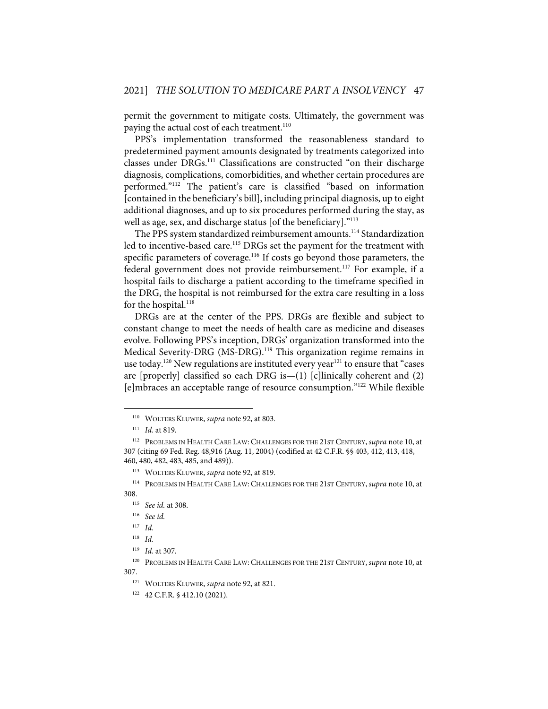permit the government to mitigate costs. Ultimately, the government was paying the actual cost of each treatment.<sup>110</sup>

PPS's implementation transformed the reasonableness standard to predetermined payment amounts designated by treatments categorized into classes under DRGs.<sup>111</sup> Classifications are constructed "on their discharge diagnosis, complications, comorbidities, and whether certain procedures are performed."112 The patient's care is classified "based on information [contained in the beneficiary's bill], including principal diagnosis, up to eight additional diagnoses, and up to six procedures performed during the stay, as well as age, sex, and discharge status [of the beneficiary]."<sup>113</sup>

The PPS system standardized reimbursement amounts.<sup>114</sup> Standardization led to incentive-based care.<sup>115</sup> DRGs set the payment for the treatment with specific parameters of coverage.<sup>116</sup> If costs go beyond those parameters, the federal government does not provide reimbursement.<sup>117</sup> For example, if a hospital fails to discharge a patient according to the timeframe specified in the DRG, the hospital is not reimbursed for the extra care resulting in a loss for the hospital.<sup>118</sup>

DRGs are at the center of the PPS. DRGs are flexible and subject to constant change to meet the needs of health care as medicine and diseases evolve. Following PPS's inception, DRGs' organization transformed into the Medical Severity-DRG (MS-DRG).<sup>119</sup> This organization regime remains in use today.<sup>120</sup> New regulations are instituted every year<sup>121</sup> to ensure that "cases are [properly] classified so each DRG is—(1) [c]linically coherent and (2) [e]mbraces an acceptable range of resource consumption."122 While flexible

<sup>110</sup> WOLTERS KLUWER, *supra* note 92, at 803.

<sup>111</sup> *Id.* at 819.

<sup>112</sup> PROBLEMS IN HEALTH CARE LAW: CHALLENGES FOR THE 21ST CENTURY, *supra* note 10, at 307 (citing 69 Fed. Reg. 48,916 (Aug. 11, 2004) (codified at 42 C.F.R. §§ 403, 412, 413, 418, 460, 480, 482, 483, 485, and 489)).

<sup>113</sup> WOLTERS KLUWER, *supra* note 92, at 819.

<sup>114</sup> PROBLEMS IN HEALTH CARE LAW: CHALLENGES FOR THE 21ST CENTURY, *supra* note 10, at 308.

<sup>115</sup> *See id.* at 308.

<sup>116</sup> *See id.*

<sup>117</sup> *Id.*

<sup>118</sup> *Id.*

<sup>119</sup> *Id.* at 307.

<sup>120</sup> PROBLEMS IN HEALTH CARE LAW: CHALLENGES FOR THE 21ST CENTURY, *supra* note 10, at 307.

<sup>121</sup> WOLTERS KLUWER, *supra* note 92, at 821.

<sup>122 42</sup> C.F.R. § 412.10 (2021).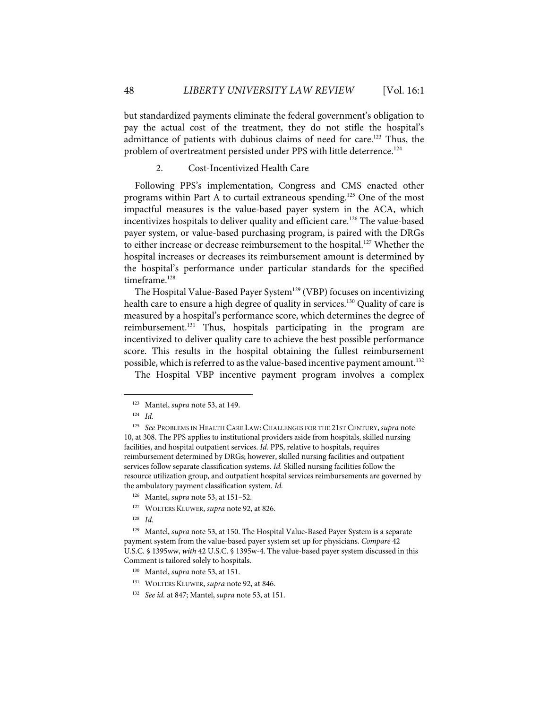but standardized payments eliminate the federal government's obligation to pay the actual cost of the treatment, they do not stifle the hospital's admittance of patients with dubious claims of need for care.<sup>123</sup> Thus, the problem of overtreatment persisted under PPS with little deterrence.<sup>124</sup>

2. Cost-Incentivized Health Care

Following PPS's implementation, Congress and CMS enacted other programs within Part A to curtail extraneous spending.<sup>125</sup> One of the most impactful measures is the value-based payer system in the ACA, which incentivizes hospitals to deliver quality and efficient care.<sup>126</sup> The value-based payer system, or value-based purchasing program, is paired with the DRGs to either increase or decrease reimbursement to the hospital.<sup>127</sup> Whether the hospital increases or decreases its reimbursement amount is determined by the hospital's performance under particular standards for the specified timeframe.<sup>128</sup>

The Hospital Value-Based Payer System<sup>129</sup> (VBP) focuses on incentivizing health care to ensure a high degree of quality in services.<sup>130</sup> Quality of care is measured by a hospital's performance score, which determines the degree of reimbursement.<sup>131</sup> Thus, hospitals participating in the program are incentivized to deliver quality care to achieve the best possible performance score. This results in the hospital obtaining the fullest reimbursement possible, which is referred to as the value-based incentive payment amount.<sup>132</sup>

The Hospital VBP incentive payment program involves a complex

128 *Id.*

<sup>123</sup> Mantel, *supra* note 53, at 149.

<sup>124</sup> *Id.*

<sup>125</sup> *See* PROBLEMS IN HEALTH CARE LAW: CHALLENGES FOR THE 21ST CENTURY, *supra* note 10, at 308. The PPS applies to institutional providers aside from hospitals, skilled nursing facilities, and hospital outpatient services. *Id.* PPS, relative to hospitals, requires reimbursement determined by DRGs; however, skilled nursing facilities and outpatient services follow separate classification systems. *Id.* Skilled nursing facilities follow the resource utilization group, and outpatient hospital services reimbursements are governed by the ambulatory payment classification system. *Id.*

<sup>126</sup> Mantel, *supra* note 53, at 151–52.

<sup>127</sup> WOLTERS KLUWER, *supra* note 92, at 826.

<sup>129</sup> Mantel, *supra* note 53, at 150. The Hospital Value-Based Payer System is a separate payment system from the value-based payer system set up for physicians. *Compare* 42 U.S.C. § 1395ww, *with* 42 U.S.C. § 1395w-4. The value-based payer system discussed in this Comment is tailored solely to hospitals.

<sup>130</sup> Mantel, *supra* note 53, at 151.

<sup>131</sup> WOLTERS KLUWER, *supra* note 92, at 846.

<sup>132</sup> *See id.* at 847; Mantel, *supra* note 53, at 151.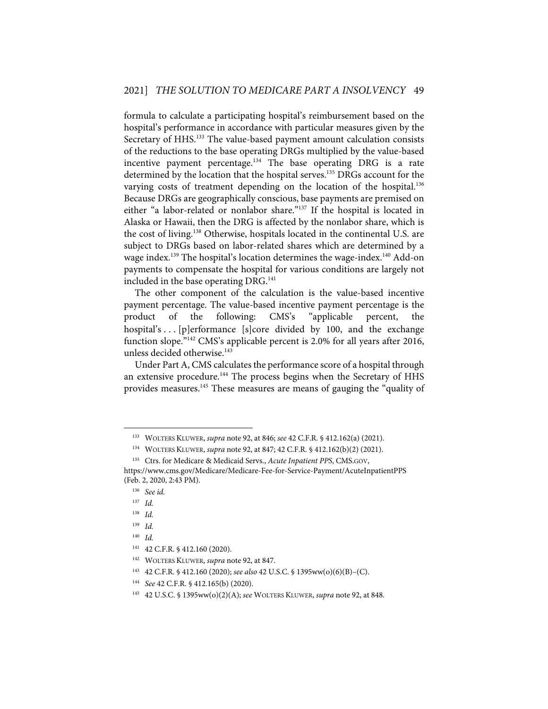formula to calculate a participating hospital's reimbursement based on the hospital's performance in accordance with particular measures given by the Secretary of HHS.<sup>133</sup> The value-based payment amount calculation consists of the reductions to the base operating DRGs multiplied by the value-based incentive payment percentage.<sup>134</sup> The base operating DRG is a rate determined by the location that the hospital serves.<sup>135</sup> DRGs account for the varying costs of treatment depending on the location of the hospital.<sup>136</sup> Because DRGs are geographically conscious, base payments are premised on either "a labor-related or nonlabor share."<sup>137</sup> If the hospital is located in Alaska or Hawaii, then the DRG is affected by the nonlabor share, which is the cost of living.138 Otherwise, hospitals located in the continental U.S. are subject to DRGs based on labor-related shares which are determined by a wage index.<sup>139</sup> The hospital's location determines the wage-index.<sup>140</sup> Add-on payments to compensate the hospital for various conditions are largely not included in the base operating DRG.<sup>141</sup>

The other component of the calculation is the value-based incentive payment percentage. The value-based incentive payment percentage is the product of the following: CMS's "applicable percent, hospital's . . . [p]erformance [s]core divided by 100, and the exchange function slope."142 CMS's applicable percent is 2.0% for all years after 2016, unless decided otherwise.<sup>143</sup>

Under Part A, CMS calculates the performance score of a hospital through an extensive procedure.<sup>144</sup> The process begins when the Secretary of HHS provides measures.<sup>145</sup> These measures are means of gauging the "quality of

<sup>133</sup> WOLTERS KLUWER, *supra* note 92, at 846; *see* 42 C.F.R. § 412.162(a) (2021).

<sup>134</sup> WOLTERS KLUWER, *supra* note 92, at 847; 42 C.F.R. § 412.162(b)(2) (2021).

<sup>135</sup> Ctrs. for Medicare & Medicaid Servs., *Acute Inpatient PPS*, CMS.GOV, https://www.cms.gov/Medicare/Medicare-Fee-for-Service-Payment/AcuteInpatientPPS

<sup>(</sup>Feb. 2, 2020, 2:43 PM). 136 *See id.*

<sup>137</sup> *Id.*

<sup>138</sup> *Id.*

<sup>139</sup> *Id.*

<sup>140</sup> *Id.*

<sup>141 42</sup> C.F.R. § 412.160 (2020).

<sup>142</sup> WOLTERS KLUWER, *supra* note 92, at 847.

<sup>143 42</sup> C.F.R. § 412.160 (2020); *see also* 42 U.S.C. § 1395ww(o)(6)(B)–(C).

<sup>144</sup> *See* 42 C.F.R. § 412.165(b) (2020).

<sup>145 42</sup> U.S.C. § 1395ww(o)(2)(A); *see* WOLTERS KLUWER, *supra* note 92, at 848.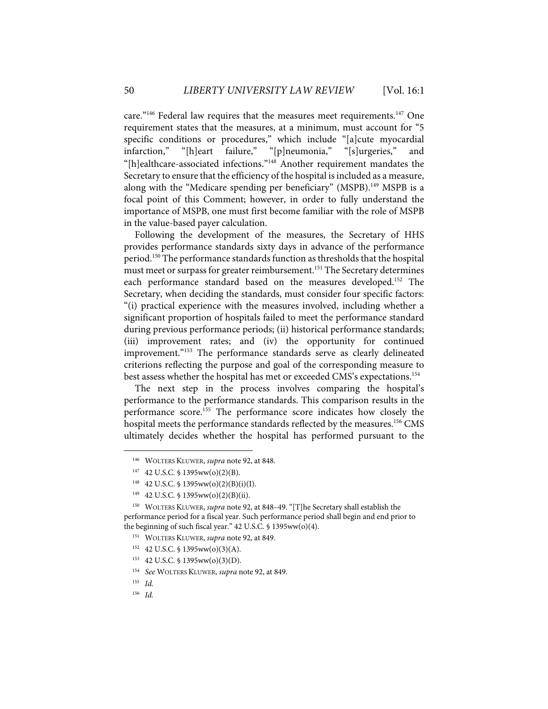care."<sup>146</sup> Federal law requires that the measures meet requirements.<sup>147</sup> One requirement states that the measures, at a minimum, must account for "5 specific conditions or procedures," which include "[a]cute myocardial infarction," "[h]eart failure," "[p]neumonia," "[s]urgeries," and "[h]ealthcare-associated infections."148 Another requirement mandates the Secretary to ensure that the efficiency of the hospital is included as a measure, along with the "Medicare spending per beneficiary" (MSPB).<sup>149</sup> MSPB is a focal point of this Comment; however, in order to fully understand the importance of MSPB, one must first become familiar with the role of MSPB in the value-based payer calculation.

Following the development of the measures, the Secretary of HHS provides performance standards sixty days in advance of the performance period. <sup>150</sup> The performance standards function as thresholds that the hospital must meet or surpass for greater reimbursement.<sup>151</sup> The Secretary determines each performance standard based on the measures developed.152 The Secretary, when deciding the standards, must consider four specific factors: "(i) practical experience with the measures involved, including whether a significant proportion of hospitals failed to meet the performance standard during previous performance periods; (ii) historical performance standards; (iii) improvement rates; and (iv) the opportunity for continued improvement."<sup>153</sup> The performance standards serve as clearly delineated criterions reflecting the purpose and goal of the corresponding measure to best assess whether the hospital has met or exceeded CMS's expectations.<sup>154</sup>

The next step in the process involves comparing the hospital's performance to the performance standards. This comparison results in the performance score.155 The performance score indicates how closely the hospital meets the performance standards reflected by the measures.<sup>156</sup> CMS ultimately decides whether the hospital has performed pursuant to the

<sup>146</sup> WOLTERS KLUWER, *supra* note 92, at 848*.*

<sup>147 42</sup> U.S.C. § 1395ww(o)(2)(B).

<sup>&</sup>lt;sup>148</sup> 42 U.S.C. § 1395ww(o)(2)(B)(i)(I).

<sup>&</sup>lt;sup>149</sup> 42 U.S.C. § 1395ww(o)(2)(B)(ii).

<sup>150</sup> WOLTERS KLUWER, *supra* note 92, at 848–49. "[T]he Secretary shall establish the performance period for a fiscal year. Such performance period shall begin and end prior to the beginning of such fiscal year." 42 U.S.C. § 1395ww(o)(4).

<sup>151</sup> WOLTERS KLUWER, *supra* note 92, at 849.

 $152$  42 U.S.C. § 1395ww(o)(3)(A).

<sup>153 42</sup> U.S.C. § 1395ww(o)(3)(D).

<sup>154</sup> *See* WOLTERS KLUWER, *supra* note 92, at 849.

<sup>155</sup> *Id.*

<sup>156</sup> *Id.*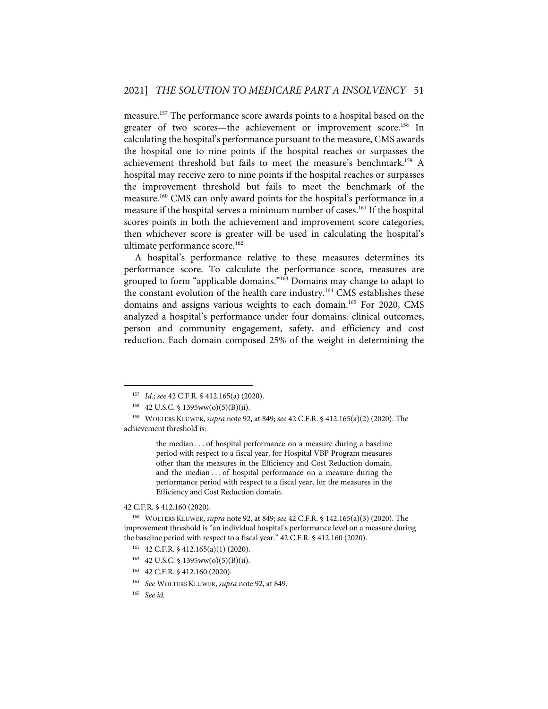measure.<sup>157</sup> The performance score awards points to a hospital based on the greater of two scores—the achievement or improvement score.<sup>158</sup> In calculating the hospital's performance pursuant to the measure, CMS awards the hospital one to nine points if the hospital reaches or surpasses the achievement threshold but fails to meet the measure's benchmark.<sup>159</sup> A hospital may receive zero to nine points if the hospital reaches or surpasses the improvement threshold but fails to meet the benchmark of the measure.160 CMS can only award points for the hospital's performance in a measure if the hospital serves a minimum number of cases.<sup>161</sup> If the hospital scores points in both the achievement and improvement score categories, then whichever score is greater will be used in calculating the hospital's ultimate performance score.<sup>162</sup>

A hospital's performance relative to these measures determines its performance score. To calculate the performance score, measures are grouped to form "applicable domains."<sup>163</sup> Domains may change to adapt to the constant evolution of the health care industry.<sup>164</sup> CMS establishes these domains and assigns various weights to each domain.<sup>165</sup> For 2020, CMS analyzed a hospital's performance under four domains: clinical outcomes, person and community engagement, safety, and efficiency and cost reduction. Each domain composed 25% of the weight in determining the

the median . . . of hospital performance on a measure during a baseline period with respect to a fiscal year, for Hospital VBP Program measures other than the measures in the Efficiency and Cost Reduction domain, and the median . . . of hospital performance on a measure during the performance period with respect to a fiscal year, for the measures in the Efficiency and Cost Reduction domain.

# 42 C.F.R. § 412.160 (2020).

- $161$  42 C.F.R. § 412.165(a)(1) (2020).
- $162$  42 U.S.C. § 1395ww(o)(5)(B)(ii).
- 163 42 C.F.R. § 412.160 (2020).
- 164 *See* WOLTERS KLUWER, *supra* note 92, at 849.
- 165 *See id.*

<sup>157</sup> *Id.*; *see* 42 C.F.R. § 412.165(a) (2020).

<sup>158 42</sup> U.S.C. § 1395ww(o)(5)(B)(ii).

<sup>159</sup> WOLTERS KLUWER, *supra* note 92, at 849; *see* 42 C.F.R. § 412.165(a)(2) (2020). The achievement threshold is:

<sup>160</sup> WOLTERS KLUWER, *supra* note 92, at 849; *see* 42 C.F.R. § 142.165(a)(3) (2020). The improvement threshold is "an individual hospital's performance level on a measure during the baseline period with respect to a fiscal year." 42 C.F.R. § 412.160 (2020).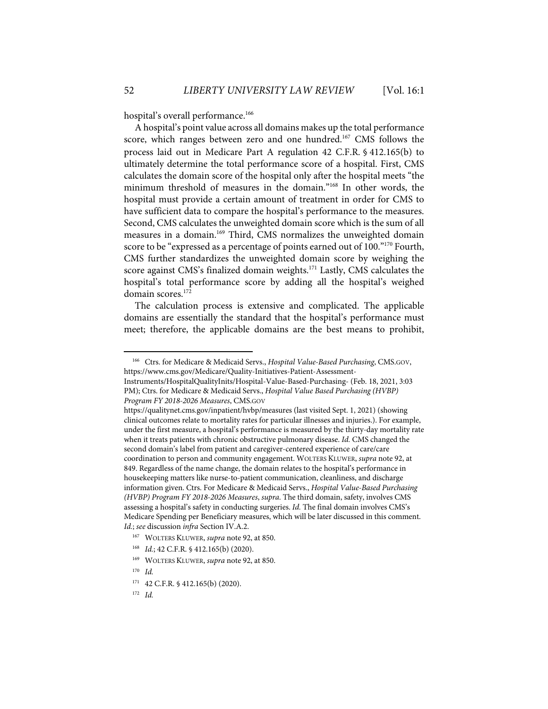hospital's overall performance.<sup>166</sup>

A hospital's point value across all domains makes up the total performance score, which ranges between zero and one hundred. <sup>167</sup> CMS follows the process laid out in Medicare Part A regulation 42 C.F.R. § 412.165(b) to ultimately determine the total performance score of a hospital. First, CMS calculates the domain score of the hospital only after the hospital meets "the minimum threshold of measures in the domain."168 In other words, the hospital must provide a certain amount of treatment in order for CMS to have sufficient data to compare the hospital's performance to the measures. Second, CMS calculates the unweighted domain score which is the sum of all measures in a domain.<sup>169</sup> Third, CMS normalizes the unweighted domain score to be "expressed as a percentage of points earned out of 100."<sup>170</sup> Fourth, CMS further standardizes the unweighted domain score by weighing the score against CMS's finalized domain weights.<sup>171</sup> Lastly, CMS calculates the hospital's total performance score by adding all the hospital's weighed domain scores.<sup>172</sup>

The calculation process is extensive and complicated. The applicable domains are essentially the standard that the hospital's performance must meet; therefore, the applicable domains are the best means to prohibit,

<sup>166</sup> Ctrs. for Medicare & Medicaid Servs., *Hospital Value-Based Purchasing*, CMS.GOV, https://www.cms.gov/Medicare/Quality-Initiatives-Patient-Assessment-

Instruments/HospitalQualityInits/Hospital-Value-Based-Purchasing- (Feb. 18, 2021, 3:03 PM); Ctrs. for Medicare & Medicaid Servs., *Hospital Value Based Purchasing (HVBP) Program FY 2018-2026 Measures*, CMS.GOV

https://qualitynet.cms.gov/inpatient/hvbp/measures (last visited Sept. 1, 2021) (showing clinical outcomes relate to mortality rates for particular illnesses and injuries.). For example, under the first measure, a hospital's performance is measured by the thirty-day mortality rate when it treats patients with chronic obstructive pulmonary disease. *Id.* CMS changed the second domain's label from patient and caregiver-centered experience of care/care coordination to person and community engagement. WOLTERS KLUWER, *supra* note 92, at 849. Regardless of the name change, the domain relates to the hospital's performance in housekeeping matters like nurse-to-patient communication, cleanliness, and discharge information given. Ctrs. For Medicare & Medicaid Servs., *Hospital Value-Based Purchasing (HVBP) Program FY 2018-2026 Measures*, *supra*. The third domain, safety, involves CMS assessing a hospital's safety in conducting surgeries. *Id.* The final domain involves CMS's Medicare Spending per Beneficiary measures, which will be later discussed in this comment. *Id.*; *see* discussion *infra* Section IV.A.2.

<sup>167</sup> WOLTERS KLUWER, *supra* note 92, at 850.

<sup>168</sup> *Id.*; 42 C.F.R. § 412.165(b) (2020).

<sup>169</sup> WOLTERS KLUWER, *supra* note 92, at 850.

<sup>170</sup> *Id.*

<sup>171 42</sup> C.F.R. § 412.165(b) (2020).

<sup>172</sup> *Id.*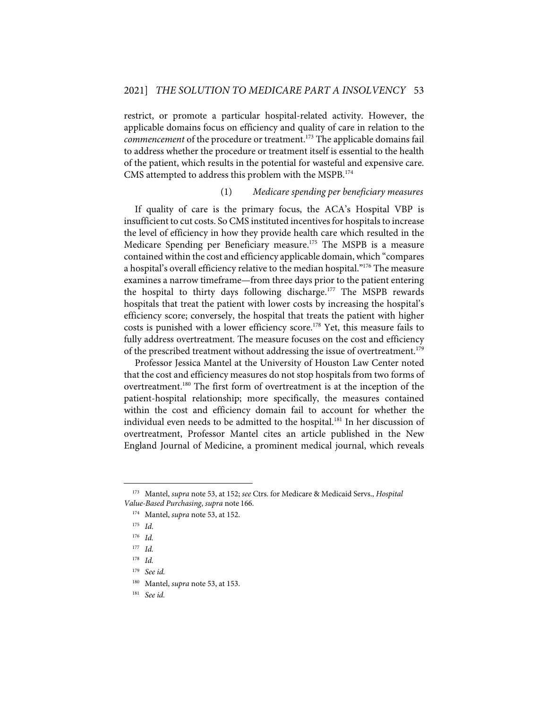restrict, or promote a particular hospital-related activity. However, the applicable domains focus on efficiency and quality of care in relation to the *commencement* of the procedure or treatment.173 The applicable domains fail to address whether the procedure or treatment itself is essential to the health of the patient, which results in the potential for wasteful and expensive care. CMS attempted to address this problem with the MSPB.174

# (1) *Medicare spending per beneficiary measures*

If quality of care is the primary focus, the ACA's Hospital VBP is insufficient to cut costs. So CMS instituted incentives for hospitals to increase the level of efficiency in how they provide health care which resulted in the Medicare Spending per Beneficiary measure.<sup>175</sup> The MSPB is a measure contained within the cost and efficiency applicable domain, which "compares a hospital's overall efficiency relative to the median hospital."<sup>176</sup> The measure examines a narrow timeframe—from three days prior to the patient entering the hospital to thirty days following discharge.<sup>177</sup> The MSPB rewards hospitals that treat the patient with lower costs by increasing the hospital's efficiency score; conversely, the hospital that treats the patient with higher costs is punished with a lower efficiency score.<sup>178</sup> Yet, this measure fails to fully address overtreatment. The measure focuses on the cost and efficiency of the prescribed treatment without addressing the issue of overtreatment.<sup>179</sup>

Professor Jessica Mantel at the University of Houston Law Center noted that the cost and efficiency measures do not stop hospitals from two forms of overtreatment.<sup>180</sup> The first form of overtreatment is at the inception of the patient-hospital relationship; more specifically, the measures contained within the cost and efficiency domain fail to account for whether the individual even needs to be admitted to the hospital.<sup>181</sup> In her discussion of overtreatment, Professor Mantel cites an article published in the New England Journal of Medicine, a prominent medical journal, which reveals

<sup>173</sup> Mantel, *supra* note 53, at 152; *see* Ctrs. for Medicare & Medicaid Servs., *Hospital Value-Based Purchasing*, *supra* note 166.

<sup>174</sup> Mantel, *supra* note 53, at 152.

<sup>175</sup> *Id.*

<sup>176</sup> *Id.*

<sup>177</sup> *Id.*

<sup>178</sup> *Id.*

<sup>179</sup> *See id.*

<sup>180</sup> Mantel, *supra* note 53, at 153.

<sup>181</sup> *See id.*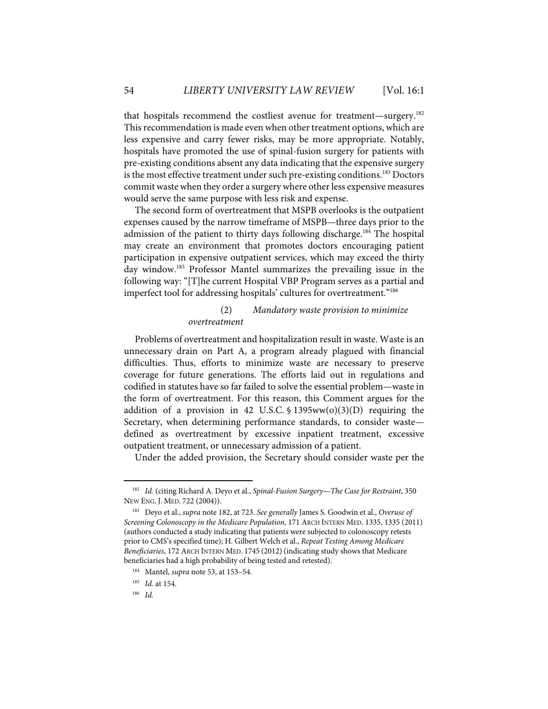that hospitals recommend the costliest avenue for treatment—surgery.182 This recommendation is made even when other treatment options, which are less expensive and carry fewer risks, may be more appropriate. Notably, hospitals have promoted the use of spinal-fusion surgery for patients with pre-existing conditions absent any data indicating that the expensive surgery is the most effective treatment under such pre-existing conditions.<sup>183</sup> Doctors commit waste when they order a surgery where other less expensive measures would serve the same purpose with less risk and expense.

The second form of overtreatment that MSPB overlooks is the outpatient expenses caused by the narrow timeframe of MSPB—three days prior to the admission of the patient to thirty days following discharge.<sup>184</sup> The hospital may create an environment that promotes doctors encouraging patient participation in expensive outpatient services, which may exceed the thirty day window.185 Professor Mantel summarizes the prevailing issue in the following way: "[T]he current Hospital VBP Program serves as a partial and imperfect tool for addressing hospitals' cultures for overtreatment."<sup>186</sup>

# (2) *Mandatory waste provision to minimize overtreatment*

Problems of overtreatment and hospitalization result in waste. Waste is an unnecessary drain on Part A, a program already plagued with financial difficulties. Thus, efforts to minimize waste are necessary to preserve coverage for future generations. The efforts laid out in regulations and codified in statutes have so far failed to solve the essential problem—waste in the form of overtreatment. For this reason, this Comment argues for the addition of a provision in 42 U.S.C.  $\frac{1395}{\text{ww}}(0)(3)(D)$  requiring the Secretary, when determining performance standards, to consider waste defined as overtreatment by excessive inpatient treatment, excessive outpatient treatment, or unnecessary admission of a patient.

Under the added provision, the Secretary should consider waste per the

<sup>182</sup> *Id.* (citing Richard A. Deyo et al., *Spinal-Fusion Surgery—The Case for Restraint*, 350 NEW ENG. J. MED. 722 (2004)).

<sup>183</sup> Deyo et al., *supra* note 182, at 723. *See generally* James S. Goodwin et al., *Overuse of Screening Colonoscopy in the Medicare Population*, 171 ARCH INTERN MED. 1335, 1335 (2011) (authors conducted a study indicating that patients were subjected to colonoscopy retests prior to CMS's specified time); H. Gilbert Welch et al., *Repeat Testing Among Medicare Beneficiaries*, 172 ARCH INTERN MED. 1745 (2012)(indicating study shows that Medicare beneficiaries had a high probability of being tested and retested).

<sup>184</sup> Mantel, *supra* note 53, at 153–54.

<sup>185</sup> *Id.* at 154.

<sup>186</sup> *Id.*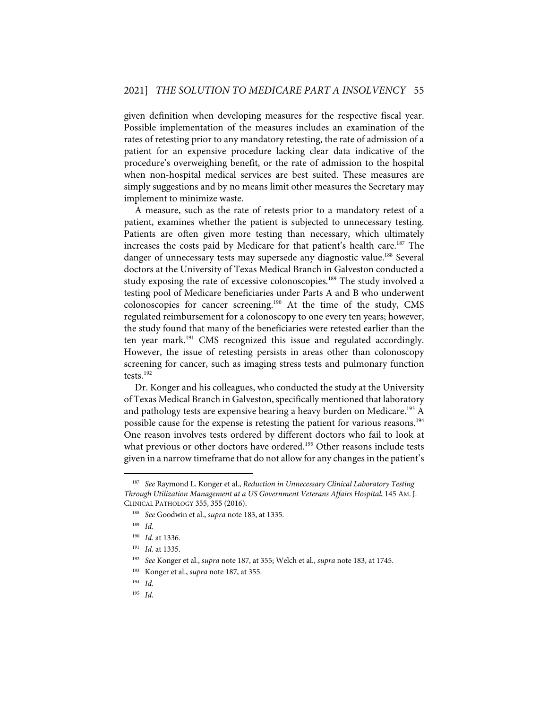given definition when developing measures for the respective fiscal year. Possible implementation of the measures includes an examination of the rates of retesting prior to any mandatory retesting, the rate of admission of a patient for an expensive procedure lacking clear data indicative of the procedure's overweighing benefit, or the rate of admission to the hospital when non-hospital medical services are best suited. These measures are simply suggestions and by no means limit other measures the Secretary may implement to minimize waste.

A measure, such as the rate of retests prior to a mandatory retest of a patient, examines whether the patient is subjected to unnecessary testing. Patients are often given more testing than necessary, which ultimately increases the costs paid by Medicare for that patient's health care.<sup>187</sup> The danger of unnecessary tests may supersede any diagnostic value.<sup>188</sup> Several doctors at the University of Texas Medical Branch in Galveston conducted a study exposing the rate of excessive colonoscopies.<sup>189</sup> The study involved a testing pool of Medicare beneficiaries under Parts A and B who underwent colonoscopies for cancer screening.190 At the time of the study, CMS regulated reimbursement for a colonoscopy to one every ten years; however, the study found that many of the beneficiaries were retested earlier than the ten year mark. <sup>191</sup> CMS recognized this issue and regulated accordingly. However, the issue of retesting persists in areas other than colonoscopy screening for cancer, such as imaging stress tests and pulmonary function tests.192

Dr. Konger and his colleagues, who conducted the study at the University of Texas Medical Branch in Galveston, specifically mentioned that laboratory and pathology tests are expensive bearing a heavy burden on Medicare.<sup>193</sup> A possible cause for the expense is retesting the patient for various reasons.<sup>194</sup> One reason involves tests ordered by different doctors who fail to look at what previous or other doctors have ordered. <sup>195</sup> Other reasons include tests given in a narrow timeframe that do not allow for any changes in the patient's

<sup>187</sup> *See* Raymond L. Konger et al., *Reduction in Unnecessary Clinical Laboratory Testing Through Utilization Management at a US Government Veterans Affairs Hospital*, 145 AM. J. CLINICAL PATHOLOGY 355, 355 (2016).

<sup>188</sup> *See* Goodwin et al., *supra* note 183, at 1335.

<sup>189</sup> *Id.*

<sup>190</sup> *Id.* at 1336.

<sup>191</sup> *Id.* at 1335.

<sup>192</sup> *See* Konger et al., *supra* note 187, at 355; Welch et al., *supra* note 183, at 1745.

<sup>193</sup> Konger et al., *supra* note 187, at 355.

<sup>194</sup> *Id*.

<sup>195</sup> *Id*.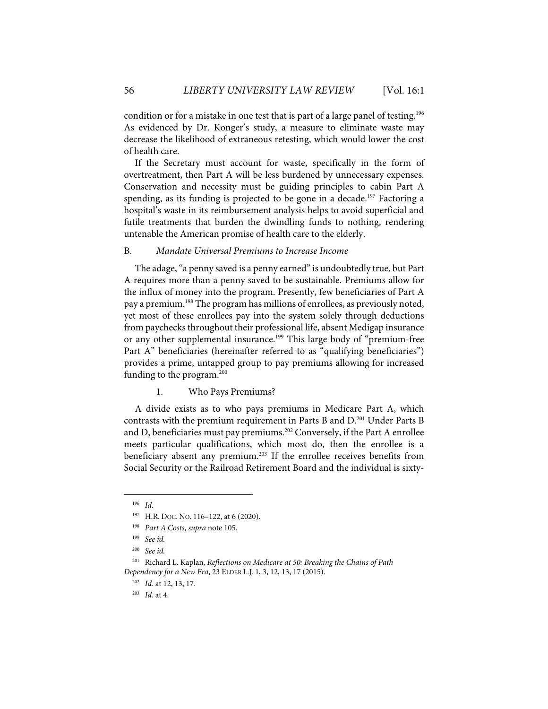condition or for a mistake in one test that is part of a large panel of testing.<sup>196</sup> As evidenced by Dr. Konger's study, a measure to eliminate waste may decrease the likelihood of extraneous retesting, which would lower the cost of health care.

If the Secretary must account for waste, specifically in the form of overtreatment, then Part A will be less burdened by unnecessary expenses. Conservation and necessity must be guiding principles to cabin Part A spending, as its funding is projected to be gone in a decade. <sup>197</sup> Factoring a hospital's waste in its reimbursement analysis helps to avoid superficial and futile treatments that burden the dwindling funds to nothing, rendering untenable the American promise of health care to the elderly.

#### B. *Mandate Universal Premiums to Increase Income*

The adage, "a penny saved is a penny earned" is undoubtedly true, but Part A requires more than a penny saved to be sustainable. Premiums allow for the influx of money into the program. Presently, few beneficiaries of Part A pay a premium.<sup>198</sup> The program has millions of enrollees, as previously noted, yet most of these enrollees pay into the system solely through deductions from paychecks throughout their professional life, absent Medigap insurance or any other supplemental insurance.<sup>199</sup> This large body of "premium-free Part A" beneficiaries (hereinafter referred to as "qualifying beneficiaries") provides a prime, untapped group to pay premiums allowing for increased funding to the program.<sup>200</sup>

1. Who Pays Premiums?

A divide exists as to who pays premiums in Medicare Part A, which contrasts with the premium requirement in Parts B and D.<sup>201</sup> Under Parts B and D, beneficiaries must pay premiums.<sup>202</sup> Conversely, if the Part A enrollee meets particular qualifications, which most do, then the enrollee is a beneficiary absent any premium.<sup>203</sup> If the enrollee receives benefits from Social Security or the Railroad Retirement Board and the individual is sixty-

<sup>196</sup> *Id*.

<sup>197</sup> H.R. DOC. NO. 116–122, at 6 (2020).

<sup>198</sup> *Part A Costs*, *supra* note 105.

<sup>199</sup> *See id.* 

<sup>200</sup> *See id.* 

<sup>201</sup> Richard L. Kaplan, *Reflections on Medicare at 50: Breaking the Chains of Path Dependency for a New Era*, 23 ELDER L.J. 1, 3, 12, 13, 17 (2015).

<sup>202</sup> *Id.* at 12, 13, 17.

<sup>203</sup> *Id.* at 4.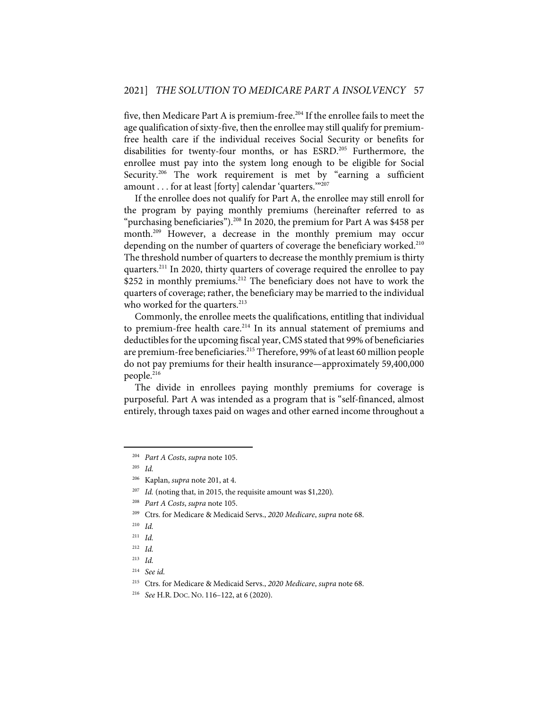five, then Medicare Part A is premium-free.204 If the enrollee fails to meet the age qualification of sixty-five, then the enrollee may still qualify for premiumfree health care if the individual receives Social Security or benefits for disabilities for twenty-four months, or has ESRD.205 Furthermore, the enrollee must pay into the system long enough to be eligible for Social Security.<sup>206</sup> The work requirement is met by "earning a sufficient amount . . . for at least [forty] calendar 'quarters.'"207

If the enrollee does not qualify for Part A, the enrollee may still enroll for the program by paying monthly premiums (hereinafter referred to as "purchasing beneficiaries"). <sup>208</sup> In 2020, the premium for Part A was \$458 per month.<sup>209</sup> However, a decrease in the monthly premium may occur depending on the number of quarters of coverage the beneficiary worked.<sup>210</sup> The threshold number of quarters to decrease the monthly premium is thirty quarters.<sup>211</sup> In 2020, thirty quarters of coverage required the enrollee to pay \$252 in monthly premiums.<sup>212</sup> The beneficiary does not have to work the quarters of coverage; rather, the beneficiary may be married to the individual who worked for the quarters.<sup>213</sup>

Commonly, the enrollee meets the qualifications, entitling that individual to premium-free health care.<sup>214</sup> In its annual statement of premiums and deductibles for the upcoming fiscal year, CMS stated that 99% of beneficiaries are premium-free beneficiaries.<sup>215</sup> Therefore, 99% of at least 60 million people do not pay premiums for their health insurance—approximately 59,400,000 people.<sup>216</sup>

The divide in enrollees paying monthly premiums for coverage is purposeful. Part A was intended as a program that is "self-financed, almost entirely, through taxes paid on wages and other earned income throughout a

<sup>204</sup> *Part A Costs*, *supra* note 105.

<sup>205</sup> *Id.*

<sup>206</sup> Kaplan, *supra* note 201, at 4.

<sup>207</sup> *Id.* (noting that, in 2015, the requisite amount was \$1,220)*.*

<sup>208</sup> *Part A Costs*, *supra* note 105.

<sup>209</sup> Ctrs. for Medicare & Medicaid Servs., *2020 Medicare*, *supra* note 68.

<sup>210</sup> *Id.*

<sup>211</sup> *Id.*

<sup>212</sup> *Id.*

<sup>213</sup> *Id.*

<sup>214</sup> *See id.*

<sup>215</sup> Ctrs. for Medicare & Medicaid Servs., *2020 Medicare*, *supra* note 68.

<sup>216</sup> *See* H.R. DOC. NO. 116–122, at 6 (2020).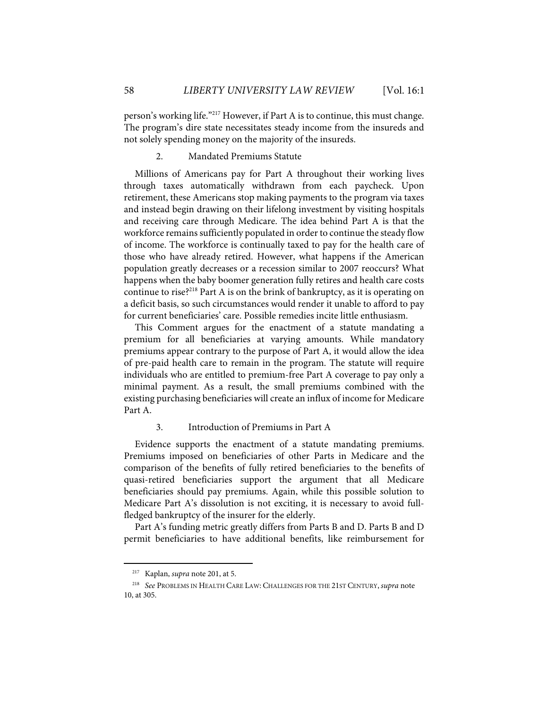person's working life."217 However, if Part A is to continue, this must change. The program's dire state necessitates steady income from the insureds and not solely spending money on the majority of the insureds.

# 2. Mandated Premiums Statute

Millions of Americans pay for Part A throughout their working lives through taxes automatically withdrawn from each paycheck. Upon retirement, these Americans stop making payments to the program via taxes and instead begin drawing on their lifelong investment by visiting hospitals and receiving care through Medicare. The idea behind Part A is that the workforce remains sufficiently populated in order to continue the steady flow of income. The workforce is continually taxed to pay for the health care of those who have already retired. However, what happens if the American population greatly decreases or a recession similar to 2007 reoccurs? What happens when the baby boomer generation fully retires and health care costs continue to rise?<sup>218</sup> Part A is on the brink of bankruptcy, as it is operating on a deficit basis, so such circumstances would render it unable to afford to pay for current beneficiaries' care. Possible remedies incite little enthusiasm.

This Comment argues for the enactment of a statute mandating a premium for all beneficiaries at varying amounts. While mandatory premiums appear contrary to the purpose of Part A, it would allow the idea of pre-paid health care to remain in the program. The statute will require individuals who are entitled to premium-free Part A coverage to pay only a minimal payment. As a result, the small premiums combined with the existing purchasing beneficiaries will create an influx of income for Medicare Part A.

## 3. Introduction of Premiums in Part A

Evidence supports the enactment of a statute mandating premiums. Premiums imposed on beneficiaries of other Parts in Medicare and the comparison of the benefits of fully retired beneficiaries to the benefits of quasi-retired beneficiaries support the argument that all Medicare beneficiaries should pay premiums. Again, while this possible solution to Medicare Part A's dissolution is not exciting, it is necessary to avoid fullfledged bankruptcy of the insurer for the elderly.

Part A's funding metric greatly differs from Parts B and D. Parts B and D permit beneficiaries to have additional benefits, like reimbursement for

<sup>217</sup> Kaplan, *supra* note 201, at 5.

<sup>218</sup> *See* PROBLEMS IN HEALTH CARE LAW: CHALLENGES FOR THE 21ST CENTURY, *supra* note 10, at 305.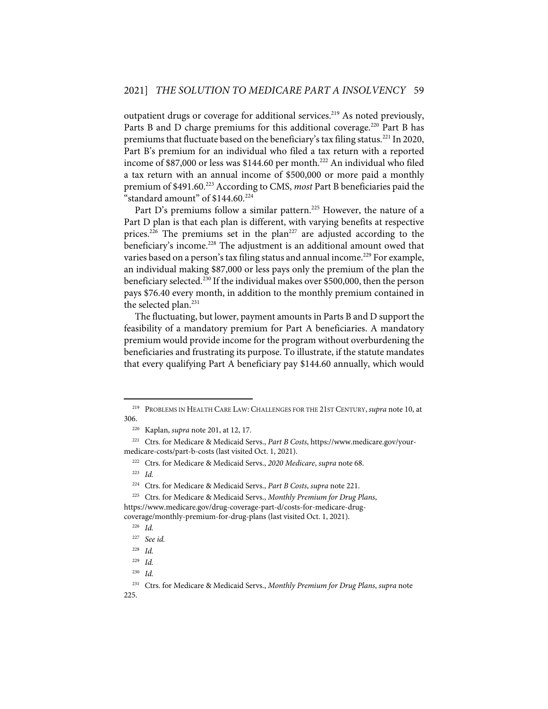outpatient drugs or coverage for additional services.<sup>219</sup> As noted previously, Parts B and D charge premiums for this additional coverage.<sup>220</sup> Part B has premiums that fluctuate based on the beneficiary's tax filing status.<sup>221</sup> In 2020, Part B's premium for an individual who filed a tax return with a reported income of \$87,000 or less was \$144.60 per month. <sup>222</sup> An individual who filed a tax return with an annual income of \$500,000 or more paid a monthly premium of \$491.60.223 According to CMS, *most* Part B beneficiaries paid the "standard amount" of  $$144.60.^{224}$ 

Part D's premiums follow a similar pattern.<sup>225</sup> However, the nature of a Part D plan is that each plan is different, with varying benefits at respective prices.<sup>226</sup> The premiums set in the plan<sup>227</sup> are adjusted according to the beneficiary's income.<sup>228</sup> The adjustment is an additional amount owed that varies based on a person's tax filing status and annual income.<sup>229</sup> For example, an individual making \$87,000 or less pays only the premium of the plan the beneficiary selected.<sup>230</sup> If the individual makes over \$500,000, then the person pays \$76.40 every month, in addition to the monthly premium contained in the selected plan.<sup>231</sup>

The fluctuating, but lower, payment amounts in Parts B and D support the feasibility of a mandatory premium for Part A beneficiaries. A mandatory premium would provide income for the program without overburdening the beneficiaries and frustrating its purpose. To illustrate, if the statute mandates that every qualifying Part A beneficiary pay \$144.60 annually, which would

<sup>219</sup> PROBLEMS IN HEALTH CARE LAW: CHALLENGES FOR THE 21ST CENTURY, *supra* note 10, at 306.

<sup>220</sup> Kaplan, *supra* note 201, at 12, 17.

<sup>221</sup> Ctrs. for Medicare & Medicaid Servs., *Part B Costs*, https://www.medicare.gov/yourmedicare-costs/part-b-costs (last visited Oct. 1, 2021).

<sup>222</sup> Ctrs. for Medicare & Medicaid Servs., *2020 Medicare*, *supra* note 68.

<sup>223</sup> *Id.*

<sup>224</sup> Ctrs. for Medicare & Medicaid Servs., *Part B Costs*, *supra* note 221.

<sup>225</sup> Ctrs. for Medicare & Medicaid Servs., *Monthly Premium for Drug Plans*, https://www.medicare.gov/drug-coverage-part-d/costs-for-medicare-drugcoverage/monthly-premium-for-drug-plans (last visited Oct. 1, 2021).

<sup>226</sup> *Id.*

<sup>227</sup> *See id.*

<sup>228</sup> *Id.*

<sup>229</sup> *Id.*

<sup>230</sup> *Id.*

<sup>231</sup> Ctrs. for Medicare & Medicaid Servs., *Monthly Premium for Drug Plans*, *supra* note 225.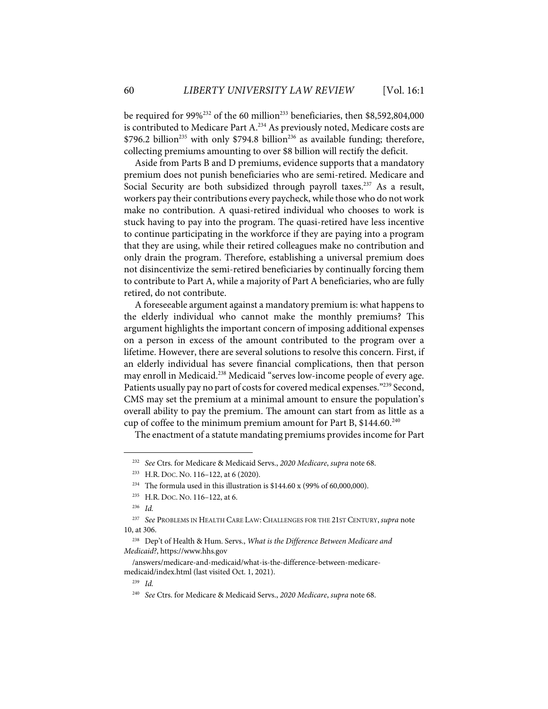be required for  $99\frac{6^{232}}{6}$  of the 60 million<sup>233</sup> beneficiaries, then \$8,592,804,000 is contributed to Medicare Part A.<sup>234</sup> As previously noted, Medicare costs are  $$796.2$  billion<sup>235</sup> with only  $$794.8$  billion<sup>236</sup> as available funding; therefore, collecting premiums amounting to over \$8 billion will rectify the deficit.

Aside from Parts B and D premiums, evidence supports that a mandatory premium does not punish beneficiaries who are semi-retired. Medicare and Social Security are both subsidized through payroll taxes.<sup>237</sup> As a result, workers pay their contributions every paycheck, while those who do not work make no contribution. A quasi-retired individual who chooses to work is stuck having to pay into the program. The quasi-retired have less incentive to continue participating in the workforce if they are paying into a program that they are using, while their retired colleagues make no contribution and only drain the program. Therefore, establishing a universal premium does not disincentivize the semi-retired beneficiaries by continually forcing them to contribute to Part A, while a majority of Part A beneficiaries, who are fully retired, do not contribute.

A foreseeable argument against a mandatory premium is: what happens to the elderly individual who cannot make the monthly premiums? This argument highlights the important concern of imposing additional expenses on a person in excess of the amount contributed to the program over a lifetime. However, there are several solutions to resolve this concern. First, if an elderly individual has severe financial complications, then that person may enroll in Medicaid.<sup>238</sup> Medicaid "serves low-income people of every age. Patients usually pay no part of costs for covered medical expenses."<sup>239</sup> Second, CMS may set the premium at a minimal amount to ensure the population's overall ability to pay the premium. The amount can start from as little as a cup of coffee to the minimum premium amount for Part B,  $$144.60.^{240}$ 

The enactment of a statute mandating premiums provides income for Part

<sup>232</sup> *See* Ctrs. for Medicare & Medicaid Servs., *2020 Medicare*, *supra* note 68.

<sup>233</sup> H.R. DOC. NO. 116–122, at 6 (2020).

<sup>&</sup>lt;sup>234</sup> The formula used in this illustration is \$144.60 x (99% of 60,000,000).

<sup>235</sup> H.R. DOC. NO. 116–122, at 6.

<sup>236</sup> *Id.*

<sup>237</sup> *See* PROBLEMS IN HEALTH CARE LAW: CHALLENGES FOR THE 21ST CENTURY, *supra* note 10, at 306.

<sup>238</sup> Dep't of Health & Hum. Servs., *What is the Difference Between Medicare and Medicaid?*, https://www.hhs.gov

<sup>/</sup>answers/medicare-and-medicaid/what-is-the-difference-between-medicaremedicaid/index.html (last visited Oct. 1, 2021).

<sup>239</sup> *Id.*

<sup>240</sup> *See* Ctrs. for Medicare & Medicaid Servs., *2020 Medicare*, *supra* note 68.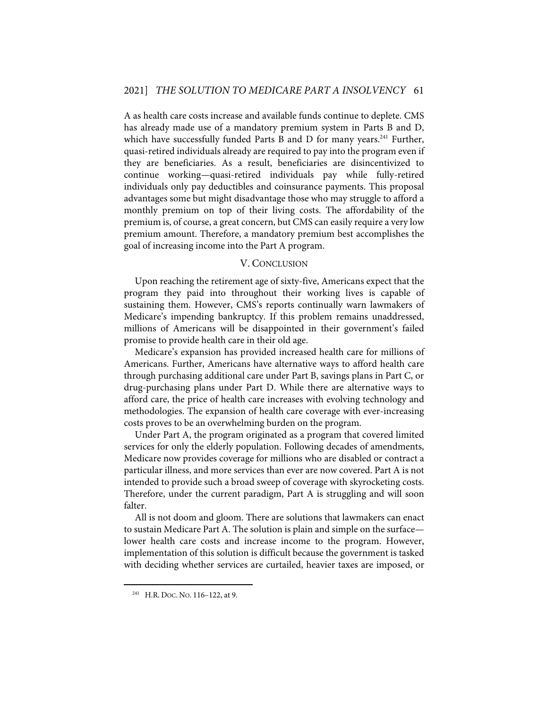A as health care costs increase and available funds continue to deplete. CMS has already made use of a mandatory premium system in Parts B and D, which have successfully funded Parts B and D for many years. $241$  Further, quasi-retired individuals already are required to pay into the program even if they are beneficiaries. As a result, beneficiaries are disincentivized to continue working—quasi-retired individuals pay while fully-retired individuals only pay deductibles and coinsurance payments. This proposal advantages some but might disadvantage those who may struggle to afford a monthly premium on top of their living costs. The affordability of the premium is, of course, a great concern, but CMS can easily require a very low premium amount. Therefore, a mandatory premium best accomplishes the goal of increasing income into the Part A program.

#### V. CONCLUSION

Upon reaching the retirement age of sixty-five, Americans expect that the program they paid into throughout their working lives is capable of sustaining them. However, CMS's reports continually warn lawmakers of Medicare's impending bankruptcy. If this problem remains unaddressed, millions of Americans will be disappointed in their government's failed promise to provide health care in their old age.

Medicare's expansion has provided increased health care for millions of Americans. Further, Americans have alternative ways to afford health care through purchasing additional care under Part B, savings plans in Part C, or drug-purchasing plans under Part D. While there are alternative ways to afford care, the price of health care increases with evolving technology and methodologies. The expansion of health care coverage with ever-increasing costs proves to be an overwhelming burden on the program.

Under Part A, the program originated as a program that covered limited services for only the elderly population. Following decades of amendments, Medicare now provides coverage for millions who are disabled or contract a particular illness, and more services than ever are now covered. Part A is not intended to provide such a broad sweep of coverage with skyrocketing costs. Therefore, under the current paradigm, Part A is struggling and will soon falter.

All is not doom and gloom. There are solutions that lawmakers can enact to sustain Medicare Part A. The solution is plain and simple on the surface lower health care costs and increase income to the program. However, implementation of this solution is difficult because the government is tasked with deciding whether services are curtailed, heavier taxes are imposed, or

<sup>241</sup> H.R. DOC. NO. 116–122, at 9.